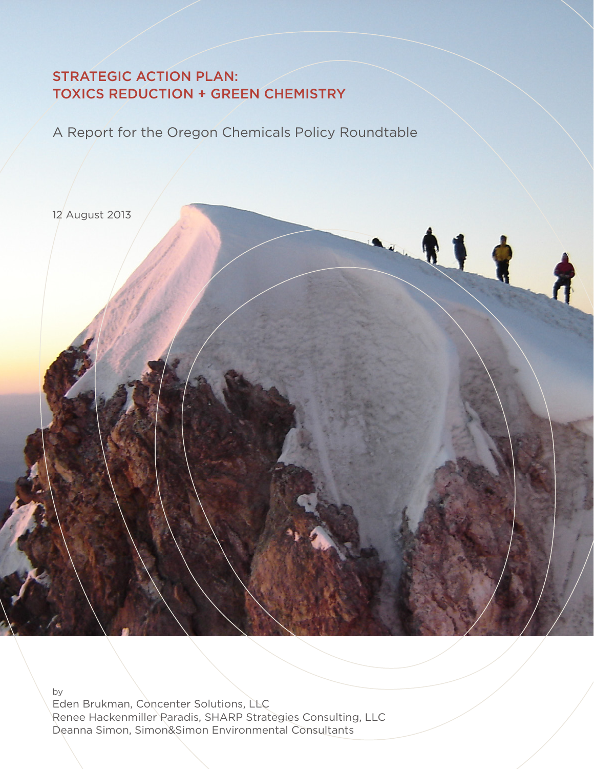# STRATEGIC ACTION PLAN: TOXICS REDUCTION + GREEN CHEMISTRY

A Report for the Oregon Chemicals Policy Roundtable

2.1

12 August 2013

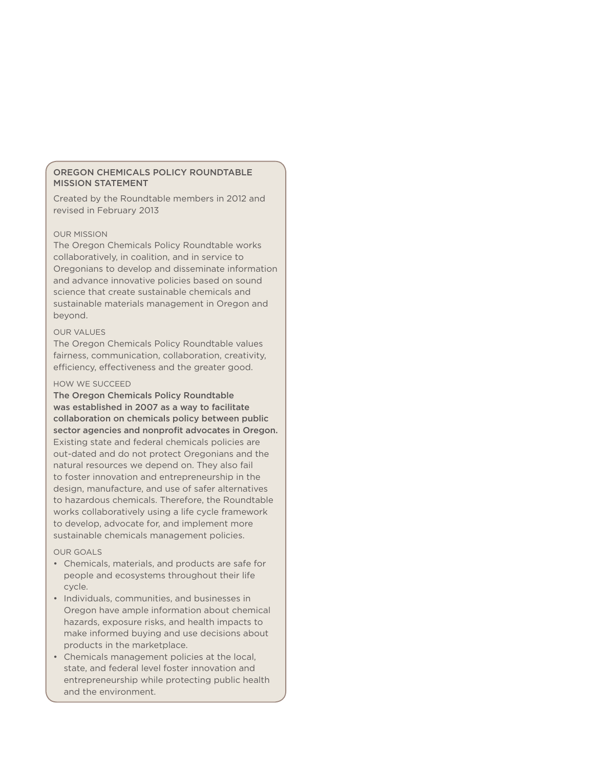# OREGON CHEMICALS POLICY ROUNDTABLE MISSION STATEMENT

Created by the Roundtable members in 2012 and revised in February 2013

#### OUR MISSION

The Oregon Chemicals Policy Roundtable works collaboratively, in coalition, and in service to Oregonians to develop and disseminate information and advance innovative policies based on sound science that create sustainable chemicals and sustainable materials management in Oregon and beyond.

#### OUR VALUES

The Oregon Chemicals Policy Roundtable values fairness, communication, collaboration, creativity, efficiency, effectiveness and the greater good.

#### HOW WE SUCCEED

The Oregon Chemicals Policy Roundtable was established in 2007 as a way to facilitate collaboration on chemicals policy between public sector agencies and nonprofit advocates in Oregon. Existing state and federal chemicals policies are out-dated and do not protect Oregonians and the natural resources we depend on. They also fail to foster innovation and entrepreneurship in the design, manufacture, and use of safer alternatives to hazardous chemicals. Therefore, the Roundtable works collaboratively using a life cycle framework to develop, advocate for, and implement more sustainable chemicals management policies.

#### OUR GOALS

- Chemicals, materials, and products are safe for people and ecosystems throughout their life cycle.
- Individuals, communities, and businesses in Oregon have ample information about chemical hazards, exposure risks, and health impacts to make informed buying and use decisions about products in the marketplace.
- Chemicals management policies at the local, state, and federal level foster innovation and entrepreneurship while protecting public health and the environment.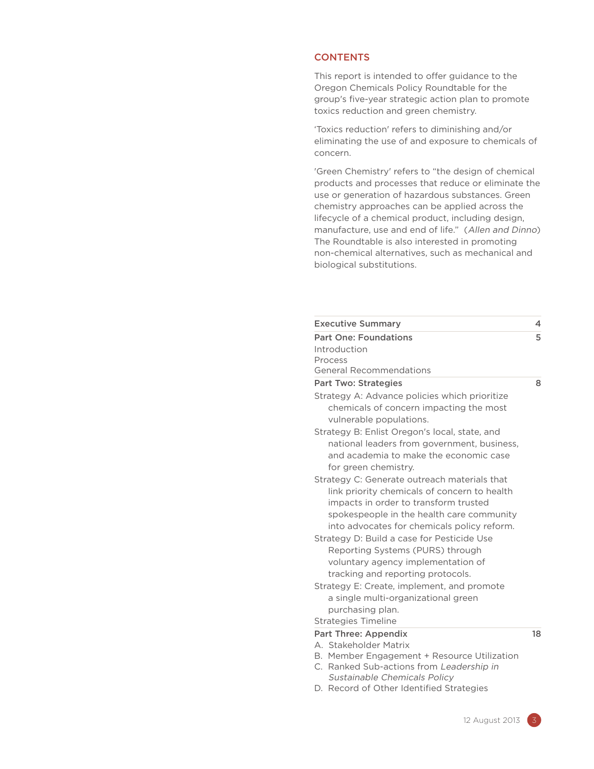#### **CONTENTS**

This report is intended to offer guidance to the Oregon Chemicals Policy Roundtable for the group's five-year strategic action plan to promote toxics reduction and green chemistry.

'Toxics reduction' refers to diminishing and/or eliminating the use of and exposure to chemicals of concern.

'Green Chemistry' refers to "the design of chemical products and processes that reduce or eliminate the use or generation of hazardous substances. Green chemistry approaches can be applied across the lifecycle of a chemical product, including design, manufacture, use and end of life." (Allen and Dinno) The Roundtable is also interested in promoting non-chemical alternatives, such as mechanical and biological substitutions.

| <b>Executive Summary</b>                                                                                                                                                                                                                                                                                            | 4  |
|---------------------------------------------------------------------------------------------------------------------------------------------------------------------------------------------------------------------------------------------------------------------------------------------------------------------|----|
| <b>Part One: Foundations</b>                                                                                                                                                                                                                                                                                        | 5  |
| Introduction                                                                                                                                                                                                                                                                                                        |    |
| Process                                                                                                                                                                                                                                                                                                             |    |
| <b>General Recommendations</b>                                                                                                                                                                                                                                                                                      |    |
| <b>Part Two: Strategies</b>                                                                                                                                                                                                                                                                                         | 8  |
| Strategy A: Advance policies which prioritize<br>chemicals of concern impacting the most<br>vulnerable populations.                                                                                                                                                                                                 |    |
| Strategy B: Enlist Oregon's local, state, and<br>national leaders from government, business,<br>and academia to make the economic case<br>for green chemistry.                                                                                                                                                      |    |
| Strategy C: Generate outreach materials that<br>link priority chemicals of concern to health<br>impacts in order to transform trusted<br>spokespeople in the health care community<br>into advocates for chemicals policy reform.<br>Strategy D: Build a case for Pesticide Use<br>Reporting Systems (PURS) through |    |
| voluntary agency implementation of<br>tracking and reporting protocols.                                                                                                                                                                                                                                             |    |
| Strategy E: Create, implement, and promote<br>a single multi-organizational green<br>purchasing plan.                                                                                                                                                                                                               |    |
| <b>Strategies Timeline</b>                                                                                                                                                                                                                                                                                          |    |
| <b>Part Three: Appendix</b>                                                                                                                                                                                                                                                                                         | 18 |
| A. Stakeholder Matrix                                                                                                                                                                                                                                                                                               |    |
| B. Member Engagement + Resource Utilization                                                                                                                                                                                                                                                                         |    |
| C. Ranked Sub-actions from Leadership in<br>Sustainable Chemicals Policy                                                                                                                                                                                                                                            |    |
|                                                                                                                                                                                                                                                                                                                     |    |

D. Record of Other Identified Strategies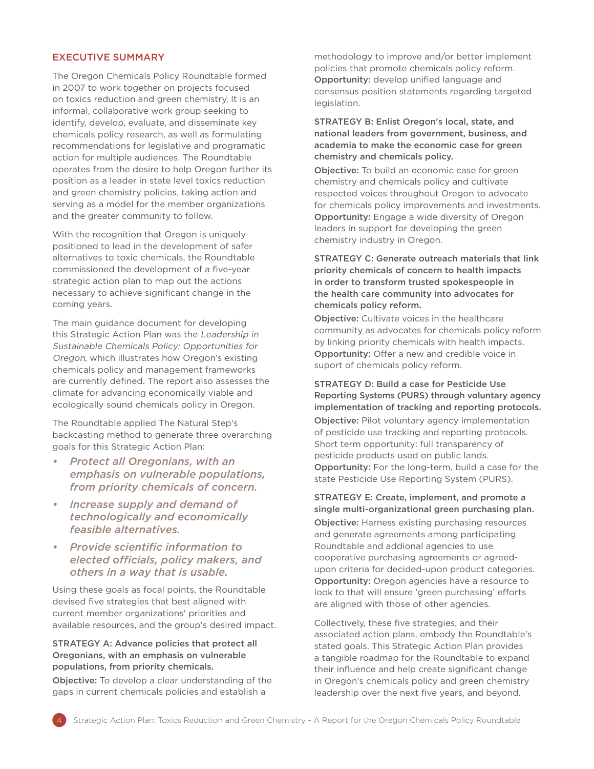# EXECUTIVE SUMMARY

The Oregon Chemicals Policy Roundtable formed in 2007 to work together on projects focused on toxics reduction and green chemistry. It is an informal, collaborative work group seeking to identify, develop, evaluate, and disseminate key chemicals policy research, as well as formulating recommendations for legislative and programatic action for multiple audiences. The Roundtable operates from the desire to help Oregon further its position as a leader in state level toxics reduction and green chemistry policies, taking action and serving as a model for the member organizations and the greater community to follow.

With the recognition that Oregon is uniquely positioned to lead in the development of safer alternatives to toxic chemicals, the Roundtable commissioned the development of a five-year strategic action plan to map out the actions necessary to achieve significant change in the coming years.

The main guidance document for developing this Strategic Action Plan was the Leadership in Sustainable Chemicals Policy: Opportunities for Oregon, which illustrates how Oregon's existing chemicals policy and management frameworks are currently defined. The report also assesses the climate for advancing economically viable and ecologically sound chemicals policy in Oregon.

The Roundtable applied The Natural Step's backcasting method to generate three overarching goals for this Strategic Action Plan:

- *• Protect all Oregonians, with an emphasis on vulnerable populations, from priority chemicals of concern.*
- *• Increase supply and demand of technologically and economically feasible alternatives.*
- *• Provide scientific information to elected officials, policy makers, and others in a way that is usable.*

Using these goals as focal points, the Roundtable devised five strategies that best aligned with current member organizations' priorities and available resources, and the group's desired impact.

# STRATEGY A: Advance policies that protect all Oregonians, with an emphasis on vulnerable populations, from priority chemicals.

Objective: To develop a clear understanding of the gaps in current chemicals policies and establish a

methodology to improve and/or better implement policies that promote chemicals policy reform. Opportunity: develop unified language and consensus position statements regarding targeted legislation.

STRATEGY B: Enlist Oregon's local, state, and national leaders from government, business, and academia to make the economic case for green chemistry and chemicals policy.

Objective: To build an economic case for green chemistry and chemicals policy and cultivate respected voices throughout Oregon to advocate for chemicals policy improvements and investments. Opportunity: Engage a wide diversity of Oregon leaders in support for developing the green chemistry industry in Oregon.

STRATEGY C: Generate outreach materials that link priority chemicals of concern to health impacts in order to transform trusted spokespeople in the health care community into advocates for chemicals policy reform.

Objective: Cultivate voices in the healthcare community as advocates for chemicals policy reform by linking priority chemicals with health impacts. Opportunity: Offer a new and credible voice in suport of chemicals policy reform.

# STRATEGY D: Build a case for Pesticide Use Reporting Systems (PURS) through voluntary agency implementation of tracking and reporting protocols.

Objective: Pilot voluntary agency implementation of pesticide use tracking and reporting protocols. Short term opportunity: full transparency of pesticide products used on public lands. Opportunity: For the long-term, build a case for the state Pesticide Use Reporting System (PURS).

STRATEGY E: Create, implement, and promote a single multi-organizational green purchasing plan. Objective: Harness existing purchasing resources and generate agreements among participating Roundtable and addional agencies to use cooperative purchasing agreements or agreedupon criteria for decided-upon product categories. Opportunity: Oregon agencies have a resource to look to that will ensure 'green purchasing' efforts are aligned with those of other agencies.

Collectively, these five strategies, and their associated action plans, embody the Roundtable's stated goals. This Strategic Action Plan provides a tangible roadmap for the Roundtable to expand their influence and help create significant change in Oregon's chemicals policy and green chemistry leadership over the next five years, and beyond.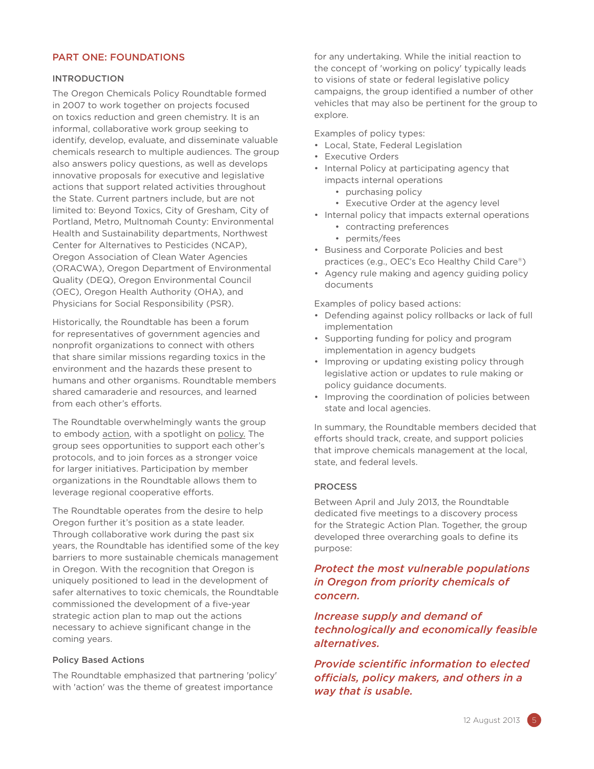# PART ONE: FOUNDATIONS

# INTRODUCTION

The Oregon Chemicals Policy Roundtable formed in 2007 to work together on projects focused on toxics reduction and green chemistry. It is an informal, collaborative work group seeking to identify, develop, evaluate, and disseminate valuable chemicals research to multiple audiences. The group also answers policy questions, as well as develops innovative proposals for executive and legislative actions that support related activities throughout the State. Current partners include, but are not limited to: Beyond Toxics, City of Gresham, City of Portland, Metro, Multnomah County: Environmental Health and Sustainability departments, Northwest Center for Alternatives to Pesticides (NCAP), Oregon Association of Clean Water Agencies (ORACWA), Oregon Department of Environmental Quality (DEQ), Oregon Environmental Council (OEC), Oregon Health Authority (OHA), and Physicians for Social Responsibility (PSR).

Historically, the Roundtable has been a forum for representatives of government agencies and nonprofit organizations to connect with others that share similar missions regarding toxics in the environment and the hazards these present to humans and other organisms. Roundtable members shared camaraderie and resources, and learned from each other's efforts.

The Roundtable overwhelmingly wants the group to embody action, with a spotlight on policy. The group sees opportunities to support each other's protocols, and to join forces as a stronger voice for larger initiatives. Participation by member organizations in the Roundtable allows them to leverage regional cooperative efforts.

The Roundtable operates from the desire to help Oregon further it's position as a state leader. Through collaborative work during the past six years, the Roundtable has identified some of the key barriers to more sustainable chemicals management in Oregon. With the recognition that Oregon is uniquely positioned to lead in the development of safer alternatives to toxic chemicals, the Roundtable commissioned the development of a five-year strategic action plan to map out the actions necessary to achieve significant change in the coming years.

#### Policy Based Actions

The Roundtable emphasized that partnering 'policy' with 'action' was the theme of greatest importance

for any undertaking. While the initial reaction to the concept of 'working on policy' typically leads to visions of state or federal legislative policy campaigns, the group identified a number of other vehicles that may also be pertinent for the group to explore.

Examples of policy types:

- Local, State, Federal Legislation
- Executive Orders
- Internal Policy at participating agency that impacts internal operations
	- purchasing policy
	- Executive Order at the agency level
- Internal policy that impacts external operations
	- contracting preferences
	- permits/fees
- Business and Corporate Policies and best practices (e.g., OEC's [Eco Healthy Child Care](http://www.cehn.org/ehcc)®)
- Agency rule making and agency guiding policy documents

Examples of policy based actions:

- Defending against policy rollbacks or lack of full implementation
- Supporting funding for policy and program implementation in agency budgets
- Improving or updating existing policy through legislative action or updates to rule making or policy guidance documents.
- Improving the coordination of policies between state and local agencies.

In summary, the Roundtable members decided that efforts should track, create, and support policies that improve chemicals management at the local, state, and federal levels.

#### PROCESS

Between April and July 2013, the Roundtable dedicated five meetings to a discovery process for the Strategic Action Plan. Together, the group developed three overarching goals to define its purpose:

# *Protect the most vulnerable populations in Oregon from priority chemicals of concern.*

*Increase supply and demand of technologically and economically feasible alternatives.*

*Provide scientific information to elected officials, policy makers, and others in a way that is usable.*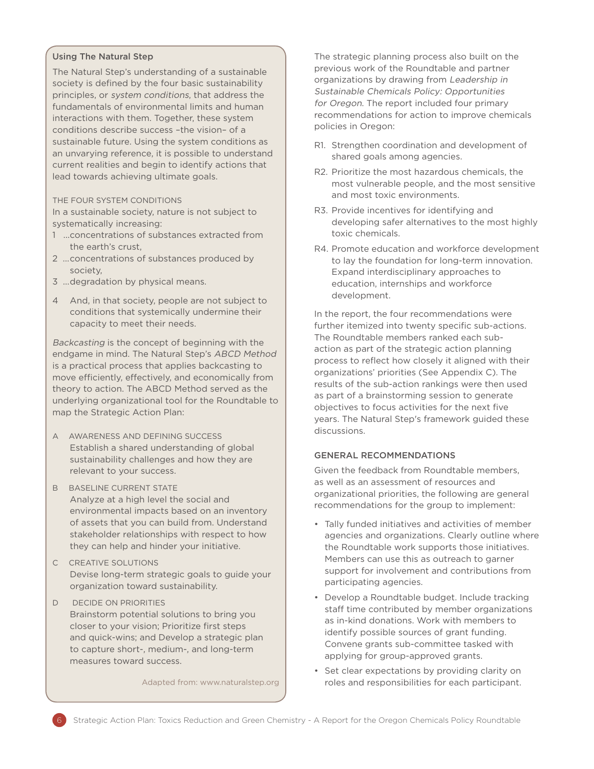# Using The Natural Step

The Natural Step's understanding of a sustainable society is defined by the four basic sustainability principles, or system conditions, that address the fundamentals of environmental limits and human interactions with them. Together, these system conditions describe success –the vision– of a sustainable future. Using the system conditions as an unvarying reference, it is possible to understand current realities and begin to identify actions that lead towards achieving ultimate goals.

#### THE FOUR SYSTEM CONDITIONS

In a sustainable society, nature is not subject to systematically increasing:

- 1 ...concentrations of substances extracted from the earth's crust,
- 2 ...concentrations of substances produced by society,
- 3 ...degradation by physical means.
- 4 And, in that society, people are not subject to conditions that systemically undermine their capacity to meet their needs.

Backcasting is the concept of beginning with the endgame in mind. The Natural Step's ABCD Method is a practical process that applies backcasting to move efficiently, effectively, and economically from theory to action. The ABCD Method served as the underlying organizational tool for the Roundtable to map the Strategic Action Plan:

- A AWARENESS AND DEFINING SUCCESS Establish a shared understanding of global sustainability challenges and how they are relevant to your success.
- **B** BASELINE CURRENT STATE Analyze at a high level the social and environmental impacts based on an inventory of assets that you can build from. Understand stakeholder relationships with respect to how they can help and hinder your initiative.
- C CREATIVE SOLUTIONS Devise long-term strategic goals to guide your organization toward sustainability.
- D DECIDE ON PRIORITIES Brainstorm potential solutions to bring you closer to your vision; Prioritize first steps and quick-wins; and Develop a strategic plan to capture short-, medium-, and long-term measures toward success.

Adapted from: www.naturalstep.org

The strategic planning process also built on the previous work of the Roundtable and partner organizations by drawing from Leadership in Sustainable Chemicals Policy: Opportunities for Oregon. The report included four primary recommendations for action to improve chemicals policies in Oregon:

- R1. Strengthen coordination and development of shared goals among agencies.
- R2. Prioritize the most hazardous chemicals, the most vulnerable people, and the most sensitive and most toxic environments.
- R3. Provide incentives for identifying and developing safer alternatives to the most highly toxic chemicals.
- R4. Promote education and workforce development to lay the foundation for long-term innovation. Expand interdisciplinary approaches to education, internships and workforce development.

In the report, the four recommendations were further itemized into twenty specific sub-actions. The Roundtable members ranked each subaction as part of the strategic action planning process to reflect how closely it aligned with their organizations' priorities (See Appendix C). The results of the sub-action rankings were then used as part of a brainstorming session to generate objectives to focus activities for the next five years. The Natural Step's framework guided these discussions.

# GENERAL RECOMMENDATIONS

Given the feedback from Roundtable members, as well as an assessment of resources and organizational priorities, the following are general recommendations for the group to implement:

- Tally funded initiatives and activities of member agencies and organizations. Clearly outline where the Roundtable work supports those initiatives. Members can use this as outreach to garner support for involvement and contributions from participating agencies.
- Develop a Roundtable budget. Include tracking staff time contributed by member organizations as in-kind donations. Work with members to identify possible sources of grant funding. Convene grants sub-committee tasked with applying for group-approved grants.
- Set clear expectations by providing clarity on roles and responsibilities for each participant.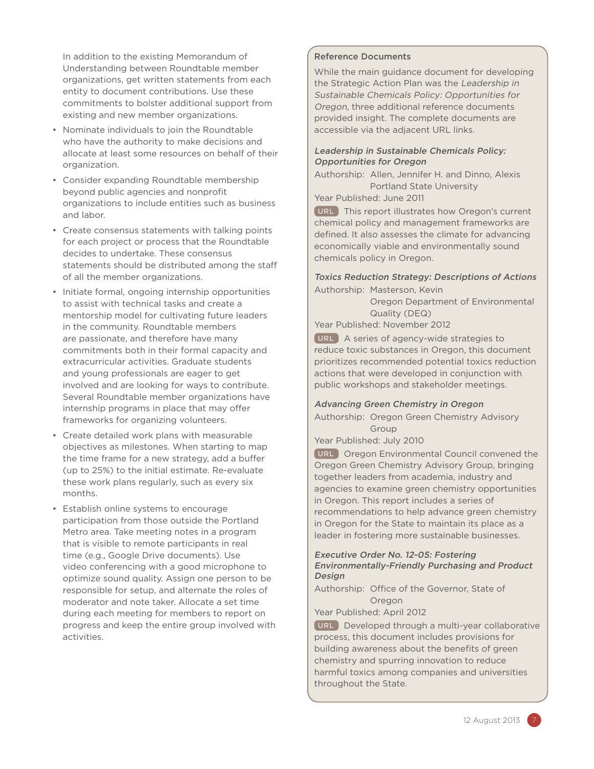In addition to the existing Memorandum of Understanding between Roundtable member organizations, get written statements from each entity to document contributions. Use these commitments to bolster additional support from existing and new member organizations.

- Nominate individuals to join the Roundtable who have the authority to make decisions and allocate at least some resources on behalf of their organization.
- Consider expanding Roundtable membership beyond public agencies and nonprofit organizations to include entities such as business and labor.
- Create consensus statements with talking points for each project or process that the Roundtable decides to undertake. These consensus statements should be distributed among the staff of all the member organizations.
- Initiate formal, ongoing internship opportunities to assist with technical tasks and create a mentorship model for cultivating future leaders in the community. Roundtable members are passionate, and therefore have many commitments both in their formal capacity and extracurricular activities. Graduate students and young professionals are eager to get involved and are looking for ways to contribute. Several Roundtable member organizations have internship programs in place that may offer frameworks for organizing volunteers.
- Create detailed work plans with measurable objectives as milestones. When starting to map the time frame for a new strategy, add a buffer (up to 25%) to the initial estimate. Re-evaluate these work plans regularly, such as every six months.
- Establish online systems to encourage participation from those outside the Portland Metro area. Take meeting notes in a program that is visible to remote participants in real time (e.g., Google Drive documents). Use video conferencing with a good microphone to optimize sound quality. Assign one person to be responsible for setup, and alternate the roles of moderator and note taker. Allocate a set time during each meeting for members to report on progress and keep the entire group involved with activities.

# Reference Documents

While the main guidance document for developing the Strategic Action Plan was the Leadership in Sustainable Chemicals Policy: Opportunities for Oregon, three additional reference documents provided insight. The complete documents are accessible via the adjacent URL links.

# Leadership in Sustainable Chemicals Policy: Opportunities for Oregon

Authorship: Allen, Jennifer H. and Dinno, Alexis Portland State University

Year Published: June 2011

[URL](http://dr.archives.pdx.edu/xmlui/bitstream/handle/psu/8605/Allen_LeadershipinSustainableChemicalsPolicy.pdf) This report illustrates how Oregon's current chemical policy and management frameworks are defined. It also assesses the climate for advancing economically viable and environmentally sound chemicals policy in Oregon.

Toxics Reduction Strategy: Descriptions of Actions Authorship: Masterson, Kevin

> Oregon Department of Environmental Quality (DEQ)

Year Published: November 2012

[URL](http://www.deq.state.or.us/toxics/docs/ToxicsStrategy_ActionDescriptions_Nov2012.pdf) A series of agency-wide strategies to reduce toxic substances in Oregon, this document prioritizes recommended potential toxics reduction actions that were developed in conjunction with public workshops and stakeholder meetings.

# Advancing Green Chemistry in Oregon

Authorship: Oregon Green Chemistry Advisory Group

Year Published: July 2010

[URL](http://www.oeconline.org/resources/publications/reportsandstudies/advancing-green-chemistry-in-oregon) Oregon Environmental Council convened the Oregon Green Chemistry Advisory Group, bringing together leaders from academia, industry and agencies to examine green chemistry opportunities in Oregon. This report includes a series of recommendations to help advance green chemistry in Oregon for the State to maintain its place as a leader in fostering more sustainable businesses.

# Executive Order No. 12-05: Fostering Environmentally-Friendly Purchasing and Product Design

Authorship: Office of the Governor, State of Oregon

Year Published: April 2012

[URL](http://www.oregon.gov/gov/docs/executive_orders/eo_12-05.pdf) Developed through a multi-year collaborative process, this document includes provisions for building awareness about the benefits of green chemistry and spurring innovation to reduce harmful toxics among companies and universities throughout the State.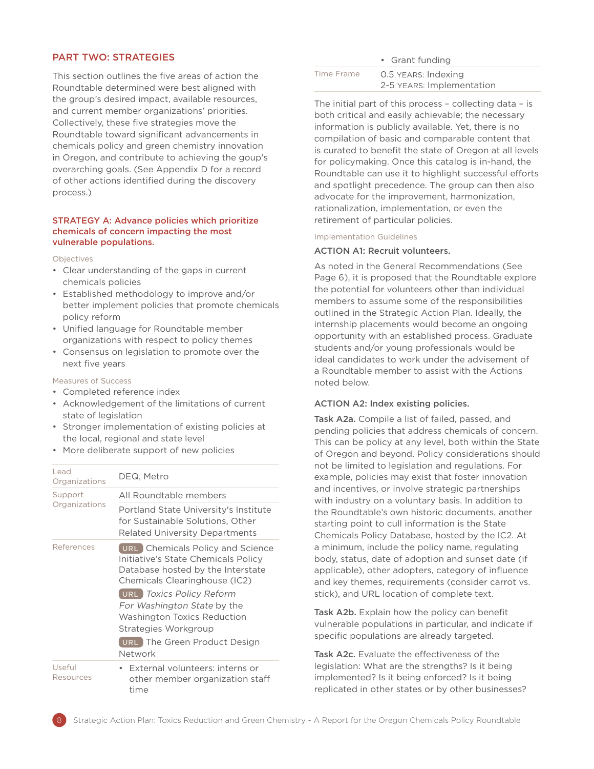# PART TWO: STRATEGIES

This section outlines the five areas of action the Roundtable determined were best aligned with the group's desired impact, available resources, and current member organizations' priorities. Collectively, these five strategies move the Roundtable toward significant advancements in chemicals policy and green chemistry innovation in Oregon, and contribute to achieving the goup's overarching goals. (See Appendix D for a record of other actions identified during the discovery process.)

#### STRATEGY A: Advance policies which prioritize chemicals of concern impacting the most vulnerable populations.

Objectives

- Clear understanding of the gaps in current chemicals policies
- Established methodology to improve and/or better implement policies that promote chemicals policy reform
- Unified language for Roundtable member organizations with respect to policy themes
- Consensus on legislation to promote over the next five years

#### Measures of Success

- Completed reference index
- Acknowledgement of the limitations of current state of legislation
- Stronger implementation of existing policies at the local, regional and state level
- More deliberate support of new policies

| Lead<br>Organizations | DEQ, Metro                                                                                                                                                                                                                                                                                                        |
|-----------------------|-------------------------------------------------------------------------------------------------------------------------------------------------------------------------------------------------------------------------------------------------------------------------------------------------------------------|
| Support               | All Roundtable members                                                                                                                                                                                                                                                                                            |
| Organizations         | Portland State University's Institute<br>for Sustainable Solutions. Other<br><b>Related University Departments</b>                                                                                                                                                                                                |
| References            | URL Chemicals Policy and Science<br>Initiative's State Chemicals Policy<br>Database hosted by the Interstate<br>Chemicals Clearinghouse (IC2)<br>URL Toxics Policy Reform<br>For Washington State by the<br><b>Washington Toxics Reduction</b><br>Strategies Workgroup<br>URL The Green Product Design<br>Network |
| Useful<br>Resources   | • External volunteers: interns or<br>other member organization staff<br>time                                                                                                                                                                                                                                      |

|            | • Grant funding           |
|------------|---------------------------|
| Time Frame | 0.5 YEARS: Indexing       |
|            | 2-5 YEARS: Implementation |

The initial part of this process – collecting data – is both critical and easily achievable; the necessary information is publicly available. Yet, there is no compilation of basic and comparable content that is curated to benefit the state of Oregon at all levels for policymaking. Once this catalog is in-hand, the Roundtable can use it to highlight successful efforts and spotlight precedence. The group can then also advocate for the improvement, harmonization, rationalization, implementation, or even the retirement of particular policies.

#### Implementation Guidelines

#### ACTION A1: Recruit volunteers.

As noted in the General Recommendations (See Page 6), it is proposed that the Roundtable explore the potential for volunteers other than individual members to assume some of the responsibilities outlined in the Strategic Action Plan. Ideally, the internship placements would become an ongoing opportunity with an established process. Graduate students and/or young professionals would be ideal candidates to work under the advisement of a Roundtable member to assist with the Actions noted below.

#### ACTION A2: Index existing policies.

Task A2a. Compile a list of failed, passed, and pending policies that address chemicals of concern. This can be policy at any level, both within the State of Oregon and beyond. Policy considerations should not be limited to legislation and regulations. For example, policies may exist that foster innovation and incentives, or involve strategic partnerships with industry on a voluntary basis. In addition to the Roundtable's own historic documents, another starting point to cull information is the State Chemicals Policy Database, hosted by the IC2. At a minimum, include the policy name, regulating body, status, date of adoption and sunset date (if applicable), other adopters, category of influence and key themes, requirements (consider carrot vs. stick), and URL location of complete text.

Task A2b. Explain how the policy can benefit vulnerable populations in particular, and indicate if specific populations are already targeted.

Task A2c. Evaluate the effectiveness of the legislation: What are the strengths? Is it being implemented? Is it being enforced? Is it being replicated in other states or by other businesses?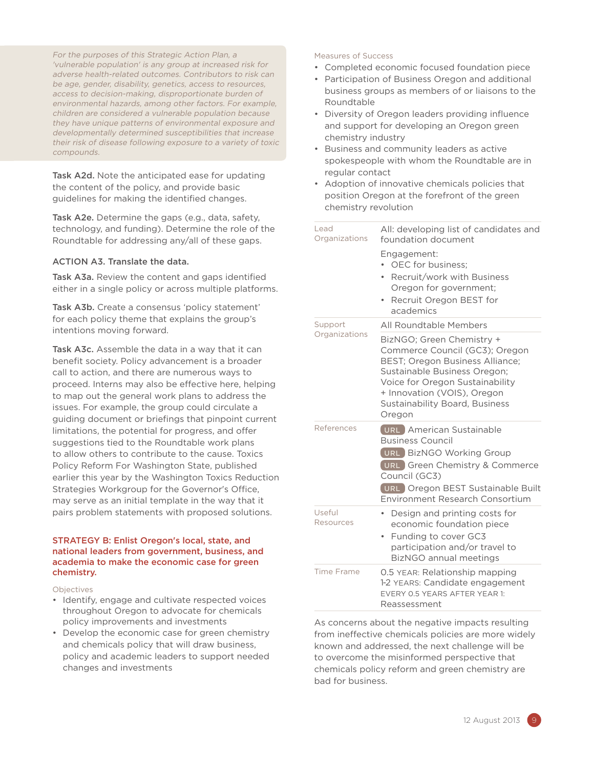For the purposes of this Strategic Action Plan, a 'vulnerable population' is any group at increased risk for adverse health-related outcomes. Contributors to risk can be age, gender, disability, genetics, access to resources, access to decision-making, disproportionate burden of environmental hazards, among other factors. For example, children are considered a vulnerable population because they have unique patterns of environmental exposure and developmentally determined susceptibilities that increase their risk of disease following exposure to a variety of toxic compounds.

Task A2d. Note the anticipated ease for updating the content of the policy, and provide basic guidelines for making the identified changes.

Task A2e. Determine the gaps (e.g., data, safety, technology, and funding). Determine the role of the Roundtable for addressing any/all of these gaps.

# ACTION A3. Translate the data.

Task A3a. Review the content and gaps identified either in a single policy or across multiple platforms.

Task A3b. Create a consensus 'policy statement' for each policy theme that explains the group's intentions moving forward.

Task A3c. Assemble the data in a way that it can benefit society. Policy advancement is a broader call to action, and there are numerous ways to proceed. Interns may also be effective here, helping to map out the general work plans to address the issues. For example, the group could circulate a guiding document or briefings that pinpoint current limitations, the potential for progress, and offer suggestions tied to the Roundtable work plans to allow others to contribute to the cause. Toxics Policy Reform For Washington State, published earlier this year by the Washington Toxics Reduction Strategies Workgroup for the Governor's Office, may serve as an initial template in the way that it pairs problem statements with proposed solutions.

#### STRATEGY B: Enlist Oregon's local, state, and national leaders from government, business, and academia to make the economic case for green chemistry.

Objectives

- Identify, engage and cultivate respected voices throughout Oregon to advocate for chemicals policy improvements and investments
- Develop the economic case for green chemistry and chemicals policy that will draw business, policy and academic leaders to support needed changes and investments

#### Measures of Success

- Completed economic focused foundation piece
- Participation of Business Oregon and additional business groups as members of or liaisons to the Roundtable
- Diversity of Oregon leaders providing influence and support for developing an Oregon green chemistry industry
- Business and community leaders as active spokespeople with whom the Roundtable are in regular contact
- Adoption of innovative chemicals policies that position Oregon at the forefront of the green chemistry revolution

| Lead<br>Organizations      | All: developing list of candidates and<br>foundation document<br>Engagement:<br>OEC for business:<br>Recruit/work with Business<br>Oregon for government;<br>Recruit Oregon BEST for<br>$\bullet$<br>academics                                              |
|----------------------------|-------------------------------------------------------------------------------------------------------------------------------------------------------------------------------------------------------------------------------------------------------------|
| Support                    | All Roundtable Members                                                                                                                                                                                                                                      |
| Organizations              | BizNGO; Green Chemistry +<br>Commerce Council (GC3); Oregon<br><b>BEST</b> ; Oregon Business Alliance;<br>Sustainable Business Oregon;<br>Voice for Oregon Sustainability<br>+ Innovation (VOIS), Oregon<br><b>Sustainability Board, Business</b><br>Oregon |
| References                 | URL American Sustainable<br><b>Business Council</b><br>URL BizNGO Working Group<br>URL Green Chemistry & Commerce<br>Council (GC3)<br>URL Oregon BEST Sustainable Built<br>Environment Research Consortium                                                  |
| Useful<br><b>Resources</b> | Design and printing costs for<br>۰<br>economic foundation piece<br>Funding to cover GC3<br>$\bullet$<br>participation and/or travel to<br>BizNGO annual meetings                                                                                            |
| Time Frame                 | 0.5 YEAR: Relationship mapping<br>1-2 YEARS: Candidate engagement<br>EVERY 0.5 YEARS AFTER YEAR 1:<br>Reassessment                                                                                                                                          |

As concerns about the negative impacts resulting from ineffective chemicals policies are more widely known and addressed, the next challenge will be to overcome the misinformed perspective that chemicals policy reform and green chemistry are bad for business.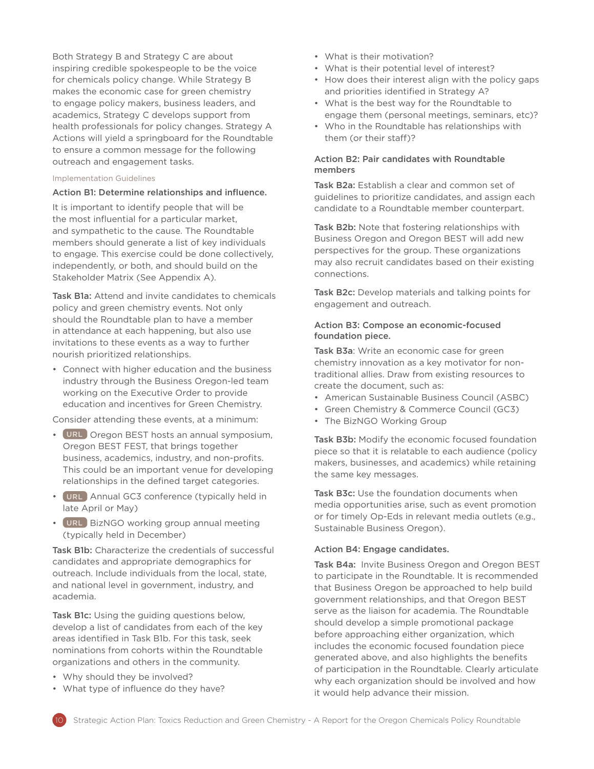Both Strategy B and Strategy C are about inspiring credible spokespeople to be the voice for chemicals policy change. While Strategy B makes the economic case for green chemistry to engage policy makers, business leaders, and academics, Strategy C develops support from health professionals for policy changes. Strategy A Actions will yield a springboard for the Roundtable to ensure a common message for the following outreach and engagement tasks.

#### Implementation Guidelines

#### Action B1: Determine relationships and influence.

It is important to identify people that will be the most influential for a particular market, and sympathetic to the cause. The Roundtable members should generate a list of key individuals to engage. This exercise could be done collectively, independently, or both, and should build on the Stakeholder Matrix (See Appendix A).

Task B1a: Attend and invite candidates to chemicals policy and green chemistry events. Not only should the Roundtable plan to have a member in attendance at each happening, but also use invitations to these events as a way to further nourish prioritized relationships.

• Connect with higher education and the business industry through the Business Oregon-led team working on the Executive Order to provide education and incentives for Green Chemistry.

Consider attending these events, at a minimum:

- [URL](http://oregonbest.org/bestfest/home) Oregon BEST hosts an annual symposium, Oregon BEST FEST, that brings together business, academics, industry, and non-profits. This could be an important venue for developing relationships in the defined target categories.
- [URL](http://www.greenchemistryandcommerce.org/events.past.php) Annual GC3 conference (typically held in late April or May)
- [URL](http://bizngo2013.eventbrite.com/) BizNGO working group annual meeting (typically held in December)

Task B1b: Characterize the credentials of successful candidates and appropriate demographics for outreach. Include individuals from the local, state, and national level in government, industry, and academia.

Task B1c: Using the guiding questions below, develop a list of candidates from each of the key areas identified in Task B1b. For this task, seek nominations from cohorts within the Roundtable organizations and others in the community.

- Why should they be involved?
- What type of influence do they have?
- What is their motivation?
- What is their potential level of interest?
- How does their interest align with the policy gaps and priorities identified in Strategy A?
- What is the best way for the Roundtable to engage them (personal meetings, seminars, etc)?
- Who in the Roundtable has relationships with them (or their staff)?

## Action B2: Pair candidates with Roundtable members

Task B2a: Establish a clear and common set of guidelines to prioritize candidates, and assign each candidate to a Roundtable member counterpart.

Task B2b: Note that fostering relationships with Business Oregon and Oregon BEST will add new perspectives for the group. These organizations may also recruit candidates based on their existing connections.

Task B2c: Develop materials and talking points for engagement and outreach.

#### Action B3: Compose an economic-focused foundation piece.

Task B3a: Write an economic case for green chemistry innovation as a key motivator for nontraditional allies. Draw from existing resources to create the document, such as:

- American Sustainable Business Council (ASBC)
- Green Chemistry & Commerce Council (GC3)
- The BizNGO Working Group

Task B3b: Modify the economic focused foundation piece so that it is relatable to each audience (policy makers, businesses, and academics) while retaining the same key messages.

Task B3c: Use the foundation documents when media opportunities arise, such as event promotion or for timely Op-Eds in relevant media outlets (e.g., Sustainable Business Oregon).

#### Action B4: Engage candidates.

Task B4a: Invite Business Oregon and Oregon BEST to participate in the Roundtable. It is recommended that Business Oregon be approached to help build government relationships, and that Oregon BEST serve as the liaison for academia. The Roundtable should develop a simple promotional package before approaching either organization, which includes the economic focused foundation piece generated above, and also highlights the benefits of participation in the Roundtable. Clearly articulate why each organization should be involved and how it would help advance their mission.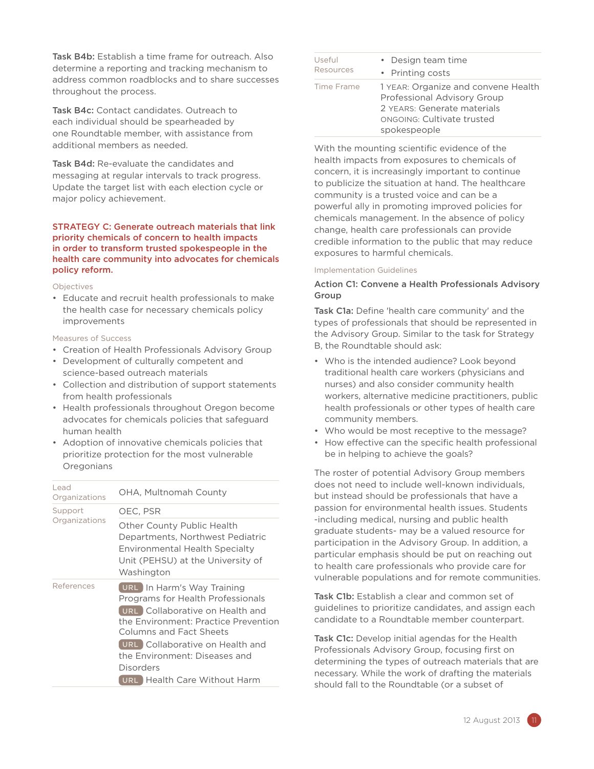Task B4b: Establish a time frame for outreach. Also determine a reporting and tracking mechanism to address common roadblocks and to share successes throughout the process.

Task B4c: Contact candidates. Outreach to each individual should be spearheaded by one Roundtable member, with assistance from additional members as needed.

Task B4d: Re-evaluate the candidates and messaging at regular intervals to track progress. Update the target list with each election cycle or major policy achievement.

#### STRATEGY C: Generate outreach materials that link priority chemicals of concern to health impacts in order to transform trusted spokespeople in the health care community into advocates for chemicals policy reform.

#### Objectives

• Educate and recruit health professionals to make the health case for necessary chemicals policy improvements

#### Measures of Success

- Creation of Health Professionals Advisory Group
- Development of culturally competent and science-based outreach materials
- Collection and distribution of support statements from health professionals
- Health professionals throughout Oregon become advocates for chemicals policies that safeguard human health
- Adoption of innovative chemicals policies that prioritize protection for the most vulnerable **Oregonians**

| Lead<br>Organizations | OHA, Multnomah County                                                                                                                                                                                                                                                                         |
|-----------------------|-----------------------------------------------------------------------------------------------------------------------------------------------------------------------------------------------------------------------------------------------------------------------------------------------|
| Support               | OEC, PSR                                                                                                                                                                                                                                                                                      |
| Organizations         | Other County Public Health<br>Departments, Northwest Pediatric<br>Environmental Health Specialty<br>Unit (PEHSU) at the University of<br>Washington                                                                                                                                           |
| References            | <b>URL</b> In Harm's Way Training<br>Programs for Health Professionals<br>URL Collaborative on Health and<br>the Environment: Practice Prevention<br>Columns and Fact Sheets<br>URL Collaborative on Health and<br>the Environment: Diseases and<br>Disorders<br>URL Health Care Without Harm |

| Useful     | • Design team time                                                                                                                              |
|------------|-------------------------------------------------------------------------------------------------------------------------------------------------|
| Resources  | • Printing costs                                                                                                                                |
| Time Frame | 1 YEAR: Organize and convene Health<br>Professional Advisory Group<br>2 YEARS: Generate materials<br>ONGOING: Cultivate trusted<br>spokespeople |

With the mounting scientific evidence of the health impacts from exposures to chemicals of concern, it is increasingly important to continue to publicize the situation at hand. The healthcare community is a trusted voice and can be a powerful ally in promoting improved policies for chemicals management. In the absence of policy change, health care professionals can provide credible information to the public that may reduce exposures to harmful chemicals.

#### Implementation Guidelines

# Action C1: Convene a Health Professionals Advisory Group

Task C1a: Define 'health care community' and the types of professionals that should be represented in the Advisory Group. Similar to the task for Strategy B, the Roundtable should ask:

- Who is the intended audience? Look beyond traditional health care workers (physicians and nurses) and also consider community health workers, alternative medicine practitioners, public health professionals or other types of health care community members.
- Who would be most receptive to the message?
- How effective can the specific health professional be in helping to achieve the goals?

The roster of potential Advisory Group members does not need to include well-known individuals, but instead should be professionals that have a passion for environmental health issues. Students -including medical, nursing and public health graduate students- may be a valued resource for participation in the Advisory Group. In addition, a particular emphasis should be put on reaching out to health care professionals who provide care for vulnerable populations and for remote communities.

Task C1b: Establish a clear and common set of guidelines to prioritize candidates, and assign each candidate to a Roundtable member counterpart.

Task C1c: Develop initial agendas for the Health Professionals Advisory Group, focusing first on determining the types of outreach materials that are necessary. While the work of drafting the materials should fall to the Roundtable (or a subset of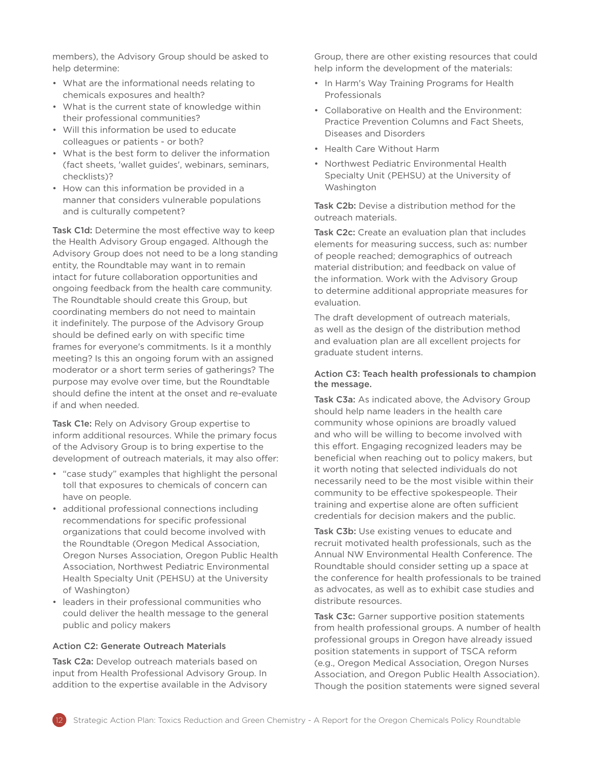members), the Advisory Group should be asked to help determine:

- What are the informational needs relating to chemicals exposures and health?
- What is the current state of knowledge within their professional communities?
- Will this information be used to educate colleagues or patients - or both?
- What is the best form to deliver the information (fact sheets, 'wallet guides', webinars, seminars, checklists)?
- How can this information be provided in a manner that considers vulnerable populations and is culturally competent?

Task C1d: Determine the most effective way to keep the Health Advisory Group engaged. Although the Advisory Group does not need to be a long standing entity, the Roundtable may want in to remain intact for future collaboration opportunities and ongoing feedback from the health care community. The Roundtable should create this Group, but coordinating members do not need to maintain it indefinitely. The purpose of the Advisory Group should be defined early on with specific time frames for everyone's commitments. Is it a monthly meeting? Is this an ongoing forum with an assigned moderator or a short term series of gatherings? The purpose may evolve over time, but the Roundtable should define the intent at the onset and re-evaluate if and when needed.

Task C1e: Rely on Advisory Group expertise to inform additional resources. While the primary focus of the Advisory Group is to bring expertise to the development of outreach materials, it may also offer:

- "case study" examples that highlight the personal toll that exposures to chemicals of concern can have on people.
- additional professional connections including recommendations for specific professional organizations that could become involved with the Roundtable (Oregon Medical Association, Oregon Nurses Association, Oregon Public Health Association, Northwest Pediatric Environmental Health Specialty Unit (PEHSU) at the University of Washington)
- leaders in their professional communities who could deliver the health message to the general public and policy makers

# Action C2: Generate Outreach Materials

Task C2a: Develop outreach materials based on input from Health Professional Advisory Group. In addition to the expertise available in the Advisory Group, there are other existing resources that could help inform the development of the materials:

- In Harm's Way Training Programs for Health Professionals
- Collaborative on Health and the Environment: Practice Prevention Columns and Fact Sheets, Diseases and Disorders
- Health Care Without Harm
- Northwest Pediatric Environmental Health Specialty Unit (PEHSU) at the University of Washington

Task C2b: Devise a distribution method for the outreach materials.

Task C2c: Create an evaluation plan that includes elements for measuring success, such as: number of people reached; demographics of outreach material distribution; and feedback on value of the information. Work with the Advisory Group to determine additional appropriate measures for evaluation.

The draft development of outreach materials, as well as the design of the distribution method and evaluation plan are all excellent projects for graduate student interns.

## Action C3: Teach health professionals to champion the message.

Task C3a: As indicated above, the Advisory Group should help name leaders in the health care community whose opinions are broadly valued and who will be willing to become involved with this effort. Engaging recognized leaders may be beneficial when reaching out to policy makers, but it worth noting that selected individuals do not necessarily need to be the most visible within their community to be effective spokespeople. Their training and expertise alone are often sufficient credentials for decision makers and the public.

Task C3b: Use existing venues to educate and recruit motivated health professionals, such as the Annual NW Environmental Health Conference. The Roundtable should consider setting up a space at the conference for health professionals to be trained as advocates, as well as to exhibit case studies and distribute resources.

Task C3c: Garner supportive position statements from health professional groups. A number of health professional groups in Oregon have already issued position statements in support of TSCA reform (e.g., Oregon Medical Association, Oregon Nurses Association, and Oregon Public Health Association). Though the position statements were signed several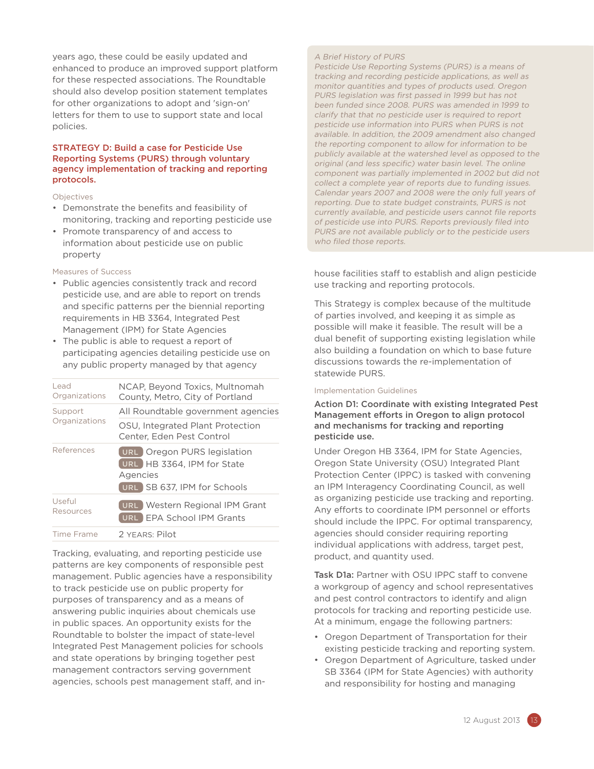years ago, these could be easily updated and enhanced to produce an improved support platform for these respected associations. The Roundtable should also develop position statement templates for other organizations to adopt and 'sign-on' letters for them to use to support state and local policies.

#### STRATEGY D: Build a case for Pesticide Use Reporting Systems (PURS) through voluntary agency implementation of tracking and reporting protocols.

#### Objectives

- Demonstrate the benefits and feasibility of monitoring, tracking and reporting pesticide use
- Promote transparency of and access to information about pesticide use on public property

#### Measures of Success

- Public agencies consistently track and record pesticide use, and are able to report on trends and specific patterns per the biennial reporting requirements in HB 3364, Integrated Pest Management (IPM) for State Agencies
- The public is able to request a report of participating agencies detailing pesticide use on any public property managed by that agency

| Lead<br>Organizations | NCAP, Beyond Toxics, Multnomah<br>County, Metro, City of Portland                                    |
|-----------------------|------------------------------------------------------------------------------------------------------|
| Support               | All Roundtable government agencies                                                                   |
| Organizations         | OSU, Integrated Plant Protection<br>Center, Eden Pest Control                                        |
| References            | URL Oregon PURS legislation<br>URL HB 3364. IPM for State<br>Agencies<br>URL SB 637, IPM for Schools |
| Useful<br>Resources   | <b>URL</b> Western Regional IPM Grant<br><b>EPA School IPM Grants</b><br><b>URL</b>                  |
| Time Frame            | 2 YEARS: Pilot                                                                                       |

Tracking, evaluating, and reporting pesticide use patterns are key components of responsible pest management. Public agencies have a responsibility to track pesticide use on public property for purposes of transparency and as a means of answering public inquiries about chemicals use in public spaces. An opportunity exists for the Roundtable to bolster the impact of state-level Integrated Pest Management policies for schools and state operations by bringing together pest management contractors serving government agencies, schools pest management staff, and in-

#### A Brief History of PURS

Pesticide Use Reporting Systems (PURS) is a means of tracking and recording pesticide applications, as well as monitor quantities and types of products used. Oregon PURS legislation was first passed in 1999 but has not been funded since 2008. PURS was amended in 1999 to clarify that that no pesticide user is required to report pesticide use information into PURS when PURS is not available. In addition, the 2009 amendment also changed the reporting component to allow for information to be publicly available at the watershed level as opposed to the original (and less specific) water basin level. The online component was partially implemented in 2002 but did not collect a complete year of reports due to funding issues. Calendar years 2007 and 2008 were the only full years of reporting. Due to state budget constraints, PURS is not currently available, and pesticide users cannot file reports of pesticide use into PURS. Reports previously filed into PURS are not available publicly or to the pesticide users who filed those reports.

house facilities staff to establish and align pesticide use tracking and reporting protocols.

This Strategy is complex because of the multitude of parties involved, and keeping it as simple as possible will make it feasible. The result will be a dual benefit of supporting existing legislation while also building a foundation on which to base future discussions towards the re-implementation of statewide PURS.

#### Implementation Guidelines

# Action D1: Coordinate with existing Integrated Pest Management efforts in Oregon to align protocol and mechanisms for tracking and reporting pesticide use.

Under Oregon HB 3364, IPM for State Agencies, Oregon State University (OSU) Integrated Plant Protection Center (IPPC) is tasked with convening an IPM Interagency Coordinating Council, as well as organizing pesticide use tracking and reporting. Any efforts to coordinate IPM personnel or efforts should include the IPPC. For optimal transparency, agencies should consider requiring reporting individual applications with address, target pest, product, and quantity used.

Task D1a: Partner with OSU IPPC staff to convene a workgroup of agency and school representatives and pest control contractors to identify and align protocols for tracking and reporting pesticide use. At a minimum, engage the following partners:

- Oregon Department of Transportation for their existing pesticide tracking and reporting system.
- Oregon Department of Agriculture, tasked under SB 3364 (IPM for State Agencies) with authority and responsibility for hosting and managing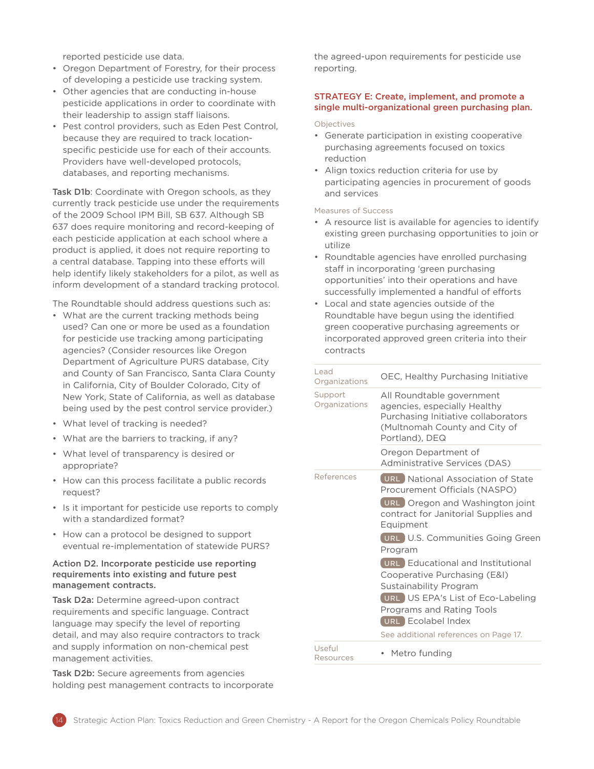reported pesticide use data.

- Oregon Department of Forestry, for their process of developing a pesticide use tracking system.
- Other agencies that are conducting in-house pesticide applications in order to coordinate with their leadership to assign staff liaisons.
- Pest control providers, such as Eden Pest Control, because they are required to track locationspecific pesticide use for each of their accounts. Providers have well-developed protocols, databases, and reporting mechanisms.

Task D1b: Coordinate with Oregon schools, as they currently track pesticide use under the requirements of the 2009 School IPM Bill, SB 637. Although SB 637 does require monitoring and record-keeping of each pesticide application at each school where a product is applied, it does not require reporting to a central database. Tapping into these efforts will help identify likely stakeholders for a pilot, as well as inform development of a standard tracking protocol.

The Roundtable should address questions such as:

- What are the current tracking methods being used? Can one or more be used as a foundation for pesticide use tracking among participating agencies? (Consider resources like Oregon Department of Agriculture PURS database, City and County of San Francisco, Santa Clara County in California, City of Boulder Colorado, City of New York, State of California, as well as database being used by the pest control service provider.)
- What level of tracking is needed?
- What are the barriers to tracking, if any?
- What level of transparency is desired or appropriate?
- How can this process facilitate a public records request?
- Is it important for pesticide use reports to comply with a standardized format?
- How can a protocol be designed to support eventual re-implementation of statewide PURS?

#### Action D2. Incorporate pesticide use reporting requirements into existing and future pest management contracts.

Task D2a: Determine agreed-upon contract requirements and specific language. Contract language may specify the level of reporting detail, and may also require contractors to track and supply information on non-chemical pest management activities.

Task D2b: Secure agreements from agencies holding pest management contracts to incorporate the agreed-upon requirements for pesticide use reporting.

#### STRATEGY E: Create, implement, and promote a single multi-organizational green purchasing plan.

#### Objectives

- Generate participation in existing cooperative purchasing agreements focused on toxics reduction
- Align toxics reduction criteria for use by participating agencies in procurement of goods and services

#### Measures of Success

- A resource list is available for agencies to identify existing green purchasing opportunities to join or utilize
- Roundtable agencies have enrolled purchasing staff in incorporating 'green purchasing opportunities' into their operations and have successfully implemented a handful of efforts
- Local and state agencies outside of the Roundtable have begun using the identified green cooperative purchasing agreements or incorporated approved green criteria into their contracts

| Lead<br>Organizations    | OEC, Healthy Purchasing Initiative                                                                                                                                   |
|--------------------------|----------------------------------------------------------------------------------------------------------------------------------------------------------------------|
| Support<br>Organizations | All Roundtable government<br>agencies, especially Healthy<br>Purchasing Initiative collaborators<br>(Multnomah County and City of<br>Portland), DEQ                  |
|                          | Oregon Department of<br>Administrative Services (DAS)                                                                                                                |
| References               | <b>URL</b> National Association of State<br>Procurement Officials (NASPO)                                                                                            |
|                          | URL Oregon and Washington joint<br>contract for Janitorial Supplies and<br>Equipment                                                                                 |
|                          | URL U.S. Communities Going Green<br>Program                                                                                                                          |
|                          | <b>URL</b> Educational and Institutional<br>Cooperative Purchasing (E&I)<br>Sustainability Program<br>URL US EPA's List of Eco-Labeling<br>Programs and Rating Tools |
|                          | URL Ecolabel Index                                                                                                                                                   |
|                          | See additional references on Page 17.                                                                                                                                |
| Useful<br>Resources      | Metro funding                                                                                                                                                        |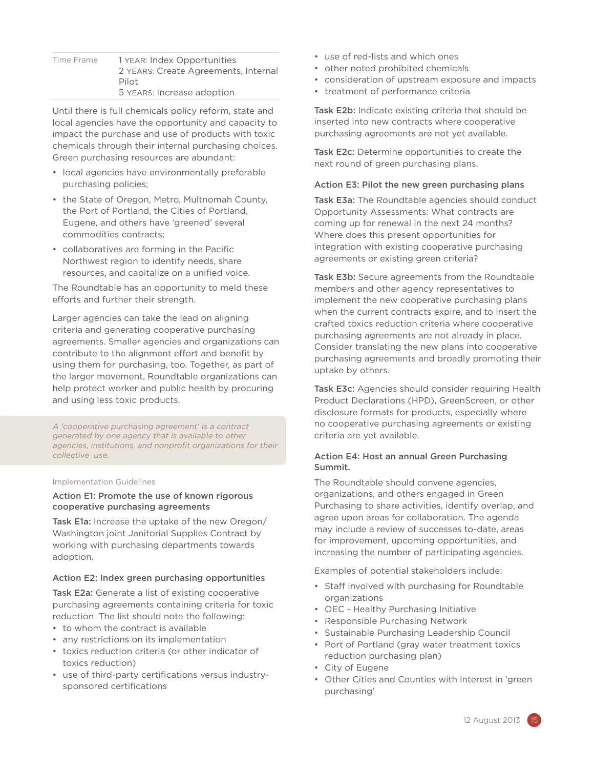| Time Frame | 1 YEAR: Index Opportunities          |
|------------|--------------------------------------|
|            | 2 YEARS: Create Agreements, Internal |
|            | Pilot                                |
|            | 5 YEARS: Increase adoption           |

Until there is full chemicals policy reform, state and local agencies have the opportunity and capacity to impact the purchase and use of products with toxic chemicals through their internal purchasing choices. Green purchasing resources are abundant:

- local agencies have environmentally preferable purchasing policies;
- the State of Oregon, Metro, Multnomah County, the Port of Portland, the Cities of Portland, Eugene, and others have 'greened' several commodities contracts;
- collaboratives are forming in the Pacific Northwest region to identify needs, share resources, and capitalize on a unified voice.

The Roundtable has an opportunity to meld these efforts and further their strength.

Larger agencies can take the lead on aligning criteria and generating cooperative purchasing agreements. Smaller agencies and organizations can contribute to the alignment effort and benefit by using them for purchasing, too. Together, as part of the larger movement, Roundtable organizations can help protect worker and public health by procuring and using less toxic products.

A 'cooperative purchasing agreement' is a contract generated by one agency that is available to other agencies, institutions, and nonprofit organizations for their collective use.

#### Implementation Guidelines

# Action E1: Promote the use of known rigorous cooperative purchasing agreements

Task E1a: Increase the uptake of the new Oregon/ Washington joint Janitorial Supplies Contract by working with purchasing departments towards adoption.

#### Action E2: Index green purchasing opportunities

Task E2a: Generate a list of existing cooperative purchasing agreements containing criteria for toxic reduction. The list should note the following:

- to whom the contract is available
- any restrictions on its implementation
- toxics reduction criteria (or other indicator of toxics reduction)
- use of third-party certifications versus industrysponsored certifications
- use of red-lists and which ones
- other noted prohibited chemicals
- consideration of upstream exposure and impacts
- treatment of performance criteria

Task E2b: Indicate existing criteria that should be inserted into new contracts where cooperative purchasing agreements are not yet available.

Task E2c: Determine opportunities to create the next round of green purchasing plans.

#### Action E3: Pilot the new green purchasing plans

Task E3a: The Roundtable agencies should conduct Opportunity Assessments: What contracts are coming up for renewal in the next 24 months? Where does this present opportunities for integration with existing cooperative purchasing agreements or existing green criteria?

Task E3b: Secure agreements from the Roundtable members and other agency representatives to implement the new cooperative purchasing plans when the current contracts expire, and to insert the crafted toxics reduction criteria where cooperative purchasing agreements are not already in place. Consider translating the new plans into cooperative purchasing agreements and broadly promoting their uptake by others.

Task E3c: Agencies should consider requiring Health Product Declarations (HPD), GreenScreen, or other disclosure formats for products, especially where no cooperative purchasing agreements or existing criteria are yet available.

#### Action E4: Host an annual Green Purchasing Summit.

The Roundtable should convene agencies, organizations, and others engaged in Green Purchasing to share activities, identify overlap, and agree upon areas for collaboration. The agenda may include a review of successes to-date, areas for improvement, upcoming opportunities, and increasing the number of participating agencies.

Examples of potential stakeholders include:

- Staff involved with purchasing for Roundtable organizations
- OEC Healthy Purchasing Initiative
- Responsible Purchasing Network
- Sustainable Purchasing Leadership Council
- Port of Portland (gray water treatment toxics reduction purchasing plan)
- City of Eugene
- Other Cities and Counties with interest in 'green purchasing'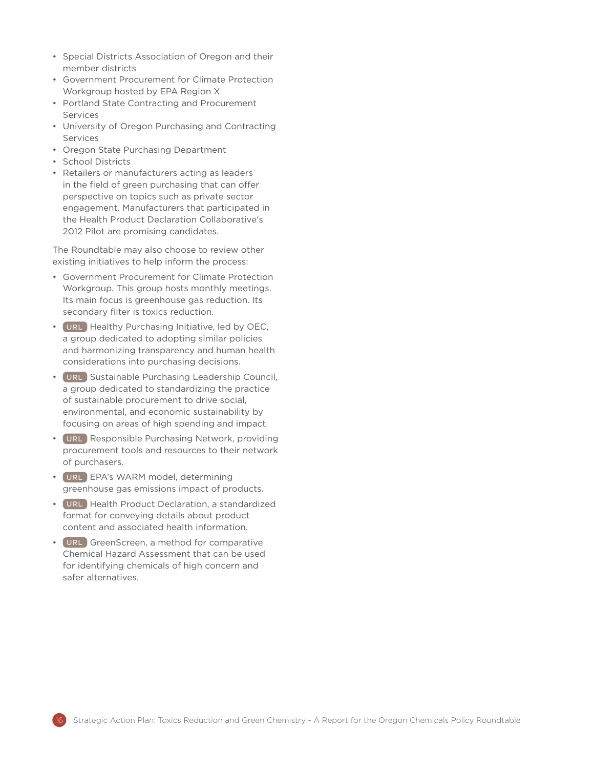- Special Districts Association of Oregon and their member districts
- Government Procurement for Climate Protection Workgroup hosted by EPA Region X
- Portland State Contracting and Procurement Services
- University of Oregon Purchasing and Contracting Services
- Oregon State Purchasing Department
- School Districts
- Retailers or manufacturers acting as leaders in the field of green purchasing that can offer perspective on topics such as private sector engagement. Manufacturers that participated in the Health Product Declaration Collaborative's 2012 Pilot are promising candidates.

The Roundtable may also choose to review other existing initiatives to help inform the process:

- Government Procurement for Climate Protection Workgroup. This group hosts monthly meetings. Its main focus is greenhouse gas reduction. Its secondary filter is toxics reduction.
- [URL](http://www.oeconline.org/our-work/economy/healthy-purchasing/our-coalition) Healthy Purchasing Initiative, led by OEC, a group dedicated to adopting similar policies and harmonizing transparency and human health considerations into purchasing decisions.
- [URL](http://www.purchasingcouncil.org/) Sustainable Purchasing Leadership Council, a group dedicated to standardizing the practice of sustainable procurement to drive social, environmental, and economic sustainability by focusing on areas of high spending and impact.
- [URL](www.responsiblepurchasing.org ) Responsible Purchasing Network, providing procurement tools and resources to their network of purchasers.
- [URL](http://epa.gov/epawaste/conserve/tools/warm/index.html) EPA's WARM model, determining greenhouse gas emissions impact of products.
- [URL](http://www.hpdcollaborative.org/) Health Product Declaration, a standardized format for conveying details about product content and associated health information.
- [URL](http://www.cleanproduction.org/Greenscreen.php) GreenScreen, a method for comparative Chemical Hazard Assessment that can be used for identifying chemicals of high concern and safer alternatives.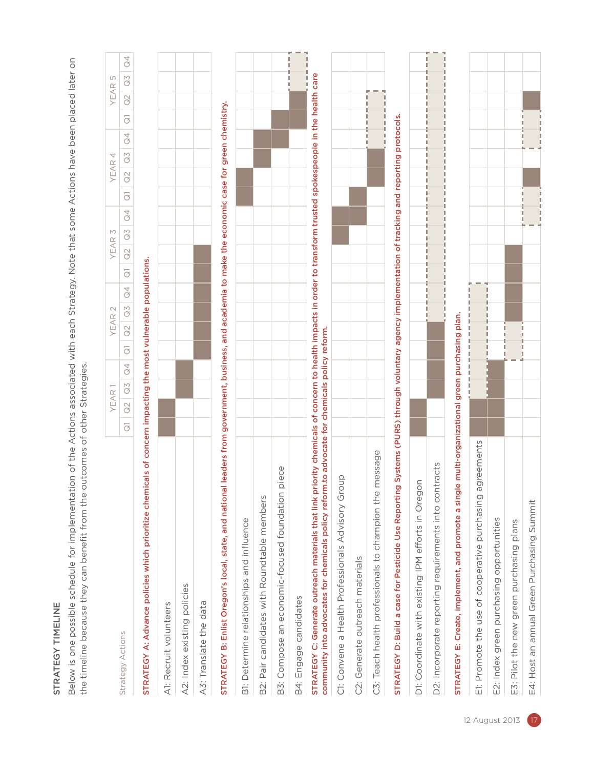# STRATEGY TIMELINE STRATEGY TIMELINE

Below is one possible schedule for implementation of the Actions associated with each Strategy. Note that some Actions have been placed later on Below is one possible schedule for implementation of the Actions associated with each Strategy. Note that some Actions have been placed later on the timeline because they can benefit from the outcomes of other Strategies. the timeline because they can benefit from the outcomes of other Strategies.

|                                                                                                                                                                                                                                                                  |                             | YEAR                 |                |                | YEAR      | $\mathcal{L}$ |                |                | YEAR      | $\mathcal{M}$  |         |                             | 4<br>YEAR      |                |                | YEAR      | LN                   |         |
|------------------------------------------------------------------------------------------------------------------------------------------------------------------------------------------------------------------------------------------------------------------|-----------------------------|----------------------|----------------|----------------|-----------|---------------|----------------|----------------|-----------|----------------|---------|-----------------------------|----------------|----------------|----------------|-----------|----------------------|---------|
| Strategy Actions                                                                                                                                                                                                                                                 | $\approx$<br>$\overline{G}$ | $\widetilde{\Omega}$ | $\overline{C}$ | $\overline{G}$ | $\approx$ | $\Omega$ 3    | $\overline{a}$ | $\overline{G}$ | $\approx$ | $\overline{a}$ | $\beta$ | $\approx$<br>$\overline{G}$ | $\overline{a}$ | $\overline{a}$ | $\overline{G}$ | $\approx$ | $\widetilde{\Omega}$ | $\beta$ |
| STRATEGY A: Advance policies which prioritize chemicals of concern impacting the most vulnerable populations.                                                                                                                                                    |                             |                      |                |                |           |               |                |                |           |                |         |                             |                |                |                |           |                      |         |
| A1: Recruit volunteers                                                                                                                                                                                                                                           |                             |                      |                |                |           |               |                |                |           |                |         |                             |                |                |                |           |                      |         |
| A2: Index existing policies                                                                                                                                                                                                                                      |                             |                      |                |                |           |               |                |                |           |                |         |                             |                |                |                |           |                      |         |
| A3: Translate the data                                                                                                                                                                                                                                           |                             |                      |                |                |           |               |                |                |           |                |         |                             |                |                |                |           |                      |         |
| leaders from government, business, and academia to make the economic case for green chemistry.<br>STRATEGY B: Enlist Oregon's local, state, and national                                                                                                         |                             |                      |                |                |           |               |                |                |           |                |         |                             |                |                |                |           |                      |         |
| B1: Determine relationships and influence                                                                                                                                                                                                                        |                             |                      |                |                |           |               |                |                |           |                |         |                             |                |                |                |           |                      |         |
| Pair candidates with Roundtable members<br>$\dot{\widetilde{\Xi}}$                                                                                                                                                                                               |                             |                      |                |                |           |               |                |                |           |                |         |                             |                |                |                |           |                      |         |
| iece<br>B3: Compose an economic-focused foundation pi                                                                                                                                                                                                            |                             |                      |                |                |           |               |                |                |           |                |         |                             |                |                |                |           |                      |         |
| B4: Engage candidates                                                                                                                                                                                                                                            |                             |                      |                |                |           |               |                |                |           |                |         |                             |                |                |                |           |                      |         |
| STRATEGY C: Generate outreach materials that link priority chemicals of concern to health impacts in order to transform trusted spokespeople in the health care<br>community into advocates for chemicals policy reform to advocate for chemicals policy reform. |                             |                      |                |                |           |               |                |                |           |                |         |                             |                |                |                |           | л                    |         |
| C1: Convene a Health Professionals Advisory Group                                                                                                                                                                                                                |                             |                      |                |                |           |               |                |                |           |                |         |                             |                |                |                |           |                      |         |
| C2: Generate outreach materials                                                                                                                                                                                                                                  |                             |                      |                |                |           |               |                |                |           |                |         |                             |                |                |                |           |                      |         |
| C3: Teach health professionals to champion the message                                                                                                                                                                                                           |                             |                      |                |                |           |               |                |                |           |                |         |                             |                |                |                |           |                      |         |
| Systems (PURS) through voluntary agency implementation of tracking and reporting protocols.<br>STRATEGY D: Build a case for Pesticide Use Reporting                                                                                                              |                             |                      |                |                |           |               |                |                |           |                |         |                             |                |                |                |           |                      |         |
| D1: Coordinate with existing IPM efforts in Oregon                                                                                                                                                                                                               |                             |                      |                |                |           |               |                |                |           |                |         |                             |                |                |                |           |                      |         |
| D2: Incorporate reporting requirements into contracts                                                                                                                                                                                                            |                             |                      |                |                |           |               |                |                |           |                |         |                             |                |                |                |           |                      |         |
| multi-organizational green purchasing plan<br>STRATEGY E: Create, implement, and promote a single                                                                                                                                                                |                             |                      |                |                |           |               |                |                |           |                |         |                             |                |                |                |           |                      |         |
| Et: Promote the use of cooperative purchasing agreements                                                                                                                                                                                                         |                             |                      |                |                |           |               |                |                |           |                |         |                             |                |                |                |           |                      |         |
| E2: Index green purchasing opportunities                                                                                                                                                                                                                         |                             |                      |                |                |           |               |                |                |           |                |         |                             |                |                |                |           |                      |         |
| Pilot the new green purchasing plans<br>ј.<br>Ш                                                                                                                                                                                                                  |                             |                      |                |                |           |               |                |                |           |                |         |                             |                |                |                |           |                      |         |
| E4: Host an annual Green Purchasing Summit                                                                                                                                                                                                                       |                             |                      |                |                |           |               |                |                |           |                |         |                             |                |                |                |           |                      |         |
|                                                                                                                                                                                                                                                                  |                             |                      |                |                |           |               |                |                |           |                |         |                             |                |                |                |           |                      |         |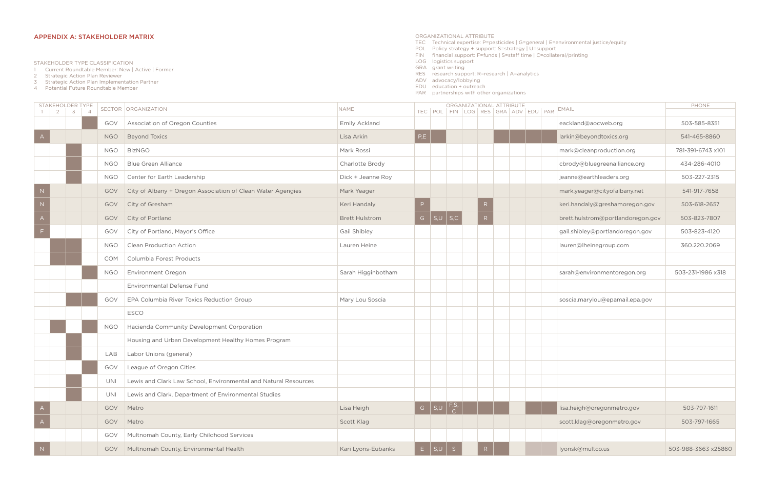|                | STAKEHOLDER TYPE |  |            | SECTOR ORGANIZATION                                             | <b>NAME</b>           |     |                                         | ORGANIZATIONAL ATTRIBUTE |                                     | EMAIL                             | PHONE               |
|----------------|------------------|--|------------|-----------------------------------------------------------------|-----------------------|-----|-----------------------------------------|--------------------------|-------------------------------------|-----------------------------------|---------------------|
|                | $1 \ 2 \ 3 \ 4$  |  |            |                                                                 |                       |     |                                         |                          | TEC POL FIN LOG RES GRA ADV EDU PAR |                                   |                     |
|                |                  |  | GOV        | Association of Oregon Counties                                  | Emily Ackland         |     |                                         |                          |                                     | eackland@aocweb.org               | 503-585-8351        |
|                |                  |  | <b>NGO</b> | <b>Beyond Toxics</b>                                            | Lisa Arkin            | P,E |                                         |                          |                                     | larkin@beyondtoxics.org           | 541-465-8860        |
|                |                  |  | <b>NGO</b> | <b>BizNGO</b>                                                   | Mark Rossi            |     |                                         |                          |                                     | mark@cleanproduction.org          | 781-391-6743 x101   |
|                |                  |  | <b>NGO</b> | <b>Blue Green Alliance</b>                                      | Charlotte Brody       |     |                                         |                          |                                     | cbrody@bluegreenalliance.org      | 434-286-4010        |
|                |                  |  | <b>NGO</b> | Center for Earth Leadership                                     | Dick + Jeanne Roy     |     |                                         |                          |                                     | jeanne@earthleaders.org           | 503-227-2315        |
|                |                  |  | GOV        | City of Albany + Oregon Association of Clean Water Agengies     | Mark Yeager           |     |                                         |                          |                                     | mark.yeager@cityofalbany.net      | 541-917-7658        |
| N              |                  |  | GOV        | City of Gresham                                                 | Keri Handaly          |     |                                         |                          |                                     | keri.handaly@greshamoregon.gov    | 503-618-2657        |
|                |                  |  | GOV        | City of Portland                                                | <b>Brett Hulstrom</b> |     | G $ S,U $ S,C                           | R                        |                                     | brett.hulstrom@portlandoregon.gov | 503-823-7807        |
|                |                  |  | GOV        | City of Portland, Mayor's Office                                | Gail Shibley          |     |                                         |                          |                                     | gail.shibley@portlandoregon.gov   | 503-823-4120        |
|                |                  |  | <b>NGO</b> | <b>Clean Production Action</b>                                  | Lauren Heine          |     |                                         |                          |                                     | lauren@lheinegroup.com            | 360.220.2069        |
|                |                  |  | <b>COM</b> | Columbia Forest Products                                        |                       |     |                                         |                          |                                     |                                   |                     |
|                |                  |  | <b>NGO</b> | Environment Oregon                                              | Sarah Higginbotham    |     |                                         |                          |                                     | sarah@environmentoregon.org       | 503-231-1986 x318   |
|                |                  |  |            | Environmental Defense Fund                                      |                       |     |                                         |                          |                                     |                                   |                     |
|                |                  |  | GOV        | EPA Columbia River Toxics Reduction Group                       | Mary Lou Soscia       |     |                                         |                          |                                     | soscia.marylou@epamail.epa.gov    |                     |
|                |                  |  |            | ESCO                                                            |                       |     |                                         |                          |                                     |                                   |                     |
|                |                  |  | <b>NGO</b> | Hacienda Community Development Corporation                      |                       |     |                                         |                          |                                     |                                   |                     |
|                |                  |  |            | Housing and Urban Development Healthy Homes Program             |                       |     |                                         |                          |                                     |                                   |                     |
|                |                  |  | LAB        | Labor Unions (general)                                          |                       |     |                                         |                          |                                     |                                   |                     |
|                |                  |  | GOV        | League of Oregon Cities                                         |                       |     |                                         |                          |                                     |                                   |                     |
|                |                  |  | UNI        | Lewis and Clark Law School, Environmental and Natural Resources |                       |     |                                         |                          |                                     |                                   |                     |
|                |                  |  | UNI        | Lewis and Clark, Department of Environmental Studies            |                       |     |                                         |                          |                                     |                                   |                     |
| $\overline{A}$ |                  |  | GOV        | Metro                                                           | Lisa Heigh            |     | G $\Big  S,U \Big  \big  \frac{F,S}{C}$ |                          |                                     | lisa.heigh@oregonmetro.gov        | 503-797-1611        |
| $\overline{A}$ |                  |  | GOV        | Metro                                                           | Scott Klag            |     |                                         |                          |                                     | scott.klag@oregonmetro.gov        | 503-797-1665        |
|                |                  |  | GOV        | Multnomah County, Early Childhood Services                      |                       |     |                                         |                          |                                     |                                   |                     |
|                |                  |  | GOV        | Multnomah County, Environmental Health                          | Kari Lyons-Eubanks    |     | $E \mid S,U \mid S$                     |                          |                                     | lyonsk@multco.us                  | 503-988-3663 x25860 |

# APPENDIX A: STAKEHOLDER MATRIX

STAKEHOLDER TYPE CLASSIFICATION

1 Current Roundtable Member: New | Active | Former

2 Strategic Action Plan Reviewer

- 3 Strategic Action Plan Implementation Partner
- 4 Potential Future Roundtable Member
- ORGANIZATIONAL ATTRIBUTE
- TEC Technical expertise: P=pesticides | G=general | E=environmental justice/equity
- POL Policy strategy + support: S=strategy | U=support
- FIN financial support: F=funds | S=staff time | C=collateral/printing
- LOG logistics support
- GRA grant writing
- RES research support: R=research | A=analytics
- ADV advocacy/lobbying

EDU education + outreach

PAR partnerships with other organizations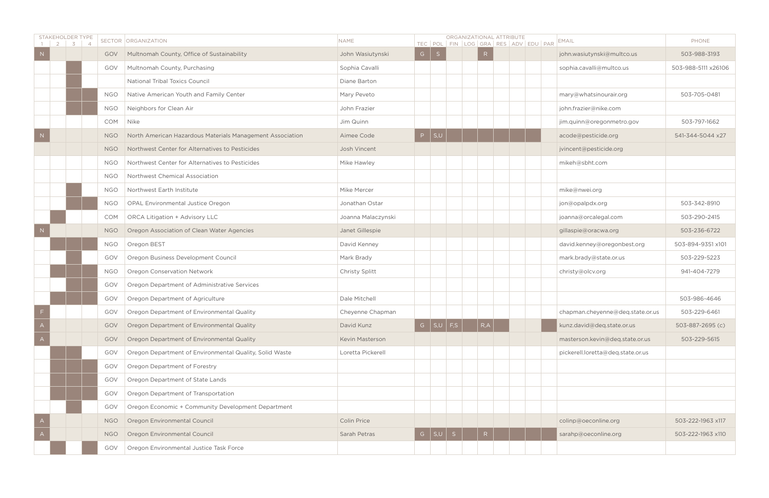| STAKEHOLDER TYPE<br>$2 \mid$ | $3 \mid 4$ |            | SECTOR ORGANIZATION                                       | <b>NAME</b>        |                           | ORGANIZATIONAL ATTRIBUTE<br>TEC POL FIN LOG GRA RES ADV EDU PAR | EMAIL                             | PHONE               |
|------------------------------|------------|------------|-----------------------------------------------------------|--------------------|---------------------------|-----------------------------------------------------------------|-----------------------------------|---------------------|
|                              |            | GOV        | Multnomah County, Office of Sustainability                | John Wasiutynski   | $G \mid S$                | R                                                               | john.wasiutynski@multco.us        | 503-988-3193        |
|                              |            | GOV        | Multnomah County, Purchasing                              | Sophia Cavalli     |                           |                                                                 | sophia.cavalli@multco.us          | 503-988-5111 x26106 |
|                              |            |            | National Tribal Toxics Council                            | Diane Barton       |                           |                                                                 |                                   |                     |
|                              |            | <b>NGO</b> | Native American Youth and Family Center                   | Mary Peveto        |                           |                                                                 | mary@whatsinourair.org            | 503-705-0481        |
|                              |            | <b>NGO</b> | Neighbors for Clean Air                                   | John Frazier       |                           |                                                                 | john.frazier@nike.com             |                     |
|                              |            | COM        | Nike                                                      | Jim Quinn          |                           |                                                                 | jim.quinn@oregonmetro.gov         | 503-797-1662        |
|                              |            | <b>NGO</b> | North American Hazardous Materials Management Association | Aimee Code         | P   S,U                   |                                                                 | acode@pesticide.org               | 541-344-5044 x27    |
|                              |            | <b>NGO</b> | Northwest Center for Alternatives to Pesticides           | Josh Vincent       |                           |                                                                 | jvincent@pesticide.org            |                     |
|                              |            | <b>NGO</b> | Northwest Center for Alternatives to Pesticides           | Mike Hawley        |                           |                                                                 | mikeh@sbht.com                    |                     |
|                              |            | <b>NGO</b> | Northwest Chemical Association                            |                    |                           |                                                                 |                                   |                     |
|                              |            | <b>NGO</b> | Northwest Earth Institute                                 | Mike Mercer        |                           |                                                                 | mike@nwei.org                     |                     |
|                              |            | <b>NGO</b> | OPAL Environmental Justice Oregon                         | Jonathan Ostar     |                           |                                                                 | jon@opalpdx.org                   | 503-342-8910        |
|                              |            | <b>COM</b> | <b>ORCA Litigation + Advisory LLC</b>                     | Joanna Malaczynski |                           |                                                                 | joanna@orcalegal.com              | 503-290-2415        |
|                              |            | <b>NGO</b> | Oregon Association of Clean Water Agencies                | Janet Gillespie    |                           |                                                                 | gillaspie@oracwa.org              | 503-236-6722        |
|                              |            | <b>NGO</b> | Oregon BEST                                               | David Kenney       |                           |                                                                 | david.kenney@oregonbest.org       | 503-894-9351 x101   |
|                              |            | GOV        | Oregon Business Development Council                       | Mark Brady         |                           |                                                                 | mark.brady@state.or.us            | 503-229-5223        |
|                              |            | <b>NGO</b> | Oregon Conservation Network                               | Christy Splitt     |                           |                                                                 | christy@olcv.org                  | 941-404-7279        |
|                              |            | GOV        | Oregon Department of Administrative Services              |                    |                           |                                                                 |                                   |                     |
|                              |            | GOV        | Oregon Department of Agriculture                          | Dale Mitchell      |                           |                                                                 |                                   | 503-986-4646        |
|                              |            | GOV        | Oregon Department of Environmental Quality                | Cheyenne Chapman   |                           |                                                                 | chapman.cheyenne@deq.state.or.us  | 503-229-6461        |
|                              |            | GOV        | Oregon Department of Environmental Quality                | David Kunz         | G $\vert$ S,U $\vert$ F,S | R, A                                                            | kunz.david@deq.state.or.us        | 503-887-2695 (c)    |
|                              |            | GOV        | Oregon Department of Environmental Quality                | Kevin Masterson    |                           |                                                                 | masterson.kevin@deq.state.or.us   | 503-229-5615        |
|                              |            | GOV        | Oregon Department of Environmental Quality, Solid Waste   | Loretta Pickerell  |                           |                                                                 | pickerell.loretta@deq.state.or.us |                     |
|                              |            | GOV        | Oregon Department of Forestry                             |                    |                           |                                                                 |                                   |                     |
|                              |            | GOV        | Oregon Department of State Lands                          |                    |                           |                                                                 |                                   |                     |
|                              |            | GOV        | Oregon Department of Transportation                       |                    |                           |                                                                 |                                   |                     |
|                              |            | GOV        | Oregon Economic + Community Development Department        |                    |                           |                                                                 |                                   |                     |
|                              |            | <b>NGO</b> | Oregon Environmental Council                              | <b>Colin Price</b> |                           |                                                                 | colinp@oeconline.org              | 503-222-1963 x117   |
|                              |            | <b>NGO</b> | Oregon Environmental Council                              | Sarah Petras       | G $ S,U S$                | R                                                               | sarahp@oeconline.org              | 503-222-1963 x110   |
|                              |            | GOV        | Oregon Environmental Justice Task Force                   |                    |                           |                                                                 |                                   |                     |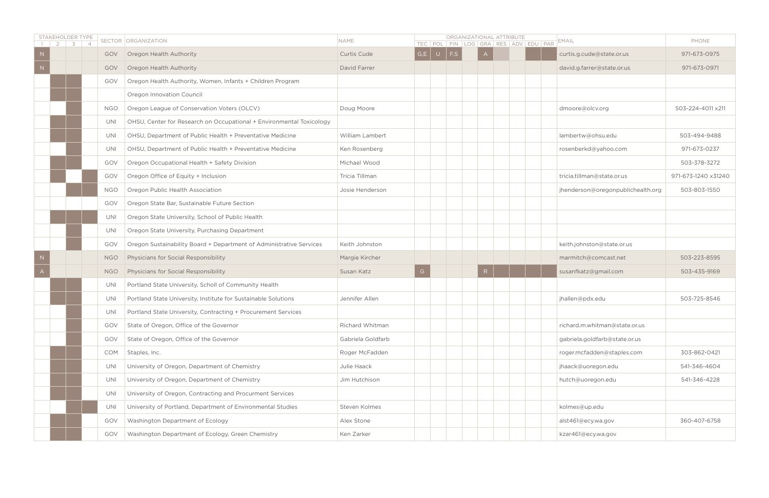| STAKEHOLDER TYPE | 3 4 |            | SECTOR ORGANIZATION                                                  | <b>NAME</b>       |              | TEC   POL   FIN   LOG   GRA   RES   ADV   EDU   PAR |   | ORGANIZATIONAL ATTRIBUTE | EMAIL                             | PHONE               |
|------------------|-----|------------|----------------------------------------------------------------------|-------------------|--------------|-----------------------------------------------------|---|--------------------------|-----------------------------------|---------------------|
|                  |     | GOV        | Oregon Health Authority                                              | Curtis Cude       |              | $G,E$ $\cup$ $F,S$                                  |   |                          | curtis.g.cude@state.or.us         | 971-673-0975        |
|                  |     | GOV        | Oregon Health Authority                                              | David Farrer      |              |                                                     |   |                          | david.g.farrer@state.or.us        | 971-673-0971        |
|                  |     | GOV        | Oregon Health Authority, Women, Infants + Children Program           |                   |              |                                                     |   |                          |                                   |                     |
|                  |     |            | Oregon Innovation Council                                            |                   |              |                                                     |   |                          |                                   |                     |
|                  |     | <b>NGO</b> | Oregon League of Conservation Voters (OLCV)                          | Doug Moore        |              |                                                     |   |                          | dmoore@olcv.org                   | 503-224-4011 x211   |
|                  |     | UNI        | OHSU, Center for Research on Occupational + Environmental Toxicology |                   |              |                                                     |   |                          |                                   |                     |
|                  |     | UNI        | OHSU, Department of Public Health + Preventative Medicine            | William Lambert   |              |                                                     |   |                          | lambertw@ohsu.edu                 | 503-494-9488        |
|                  |     | UNI        | OHSU, Department of Public Health + Preventative Medicine            | Ken Rosenberg     |              |                                                     |   |                          | rosenberkd@yahoo.com              | 971-673-0237        |
|                  |     | GOV        | Oregon Occupational Health + Safety Division                         | Michael Wood      |              |                                                     |   |                          |                                   | 503-378-3272        |
|                  |     | GOV        | Oregon Office of Equity + Inclusion                                  | Tricia Tillman    |              |                                                     |   |                          | tricia.tillman@state.or.us        | 971-673-1240 x31240 |
|                  |     | <b>NGO</b> | Oregon Public Health Association                                     | Josie Henderson   |              |                                                     |   |                          | jhenderson@oregonpublichealth.org | 503-803-1550        |
|                  |     | GOV        | Oregon State Bar, Sustainable Future Section                         |                   |              |                                                     |   |                          |                                   |                     |
|                  |     | UNI        | Oregon State University, School of Public Health                     |                   |              |                                                     |   |                          |                                   |                     |
|                  |     | UNI        | Oregon State University, Purchasing Department                       |                   |              |                                                     |   |                          |                                   |                     |
|                  |     | GOV        | Oregon Sustainability Board + Department of Administrative Services  | Keith Johnston    |              |                                                     |   |                          | keith.johnston@state.or.us        |                     |
|                  |     | <b>NGO</b> | Physicians for Social Responsibility                                 | Margie Kircher    |              |                                                     |   |                          | marmitch@comcast.net              | 503-223-8595        |
|                  |     | <b>NGO</b> | Physicians for Social Responsibility                                 | Susan Katz        | $\mathsf{G}$ |                                                     | R |                          | susanfkatz@gmail.com              | 503-435-9169        |
|                  |     | UNI        | Portland State University, Scholl of Community Health                |                   |              |                                                     |   |                          |                                   |                     |
|                  |     | UNI        | Portland State University, Institute for Sustainable Solutions       | Jennifer Allen    |              |                                                     |   |                          | jhallen@pdx.edu                   | 503-725-8546        |
|                  |     | UNI        | Portland State University, Contracting + Procurement Services        |                   |              |                                                     |   |                          |                                   |                     |
|                  |     | GOV        | State of Oregon, Office of the Governor                              | Richard Whitman   |              |                                                     |   |                          | richard.m.whitman@state.or.us     |                     |
|                  |     | GOV        | State of Oregon, Office of the Governor                              | Gabriela Goldfarb |              |                                                     |   |                          | gabriela.goldfarb@state.or.us     |                     |
|                  |     | <b>COM</b> | Staples, Inc.                                                        | Roger McFadden    |              |                                                     |   |                          | roger.mcfadden@staples.com        | 303-862-0421        |
|                  |     | UNI        | University of Oregon, Department of Chemistry                        | Julie Haack       |              |                                                     |   |                          | jhaack@uoregon.edu                | 541-346-4604        |
|                  |     | UNI        | University of Oregon, Department of Chemistry                        | Jim Hutchison     |              |                                                     |   |                          | hutch@uoregon.edu                 | 541-346-4228        |
|                  |     | UNI        | University of Oregon, Contracting and Procurment Services            |                   |              |                                                     |   |                          |                                   |                     |
|                  |     | UNI        | University of Portland, Department of Environmental Studies          | Steven Kolmes     |              |                                                     |   |                          | kolmes@up.edu                     |                     |
|                  |     | GOV        | Washington Department of Ecology                                     | Alex Stone        |              |                                                     |   |                          | alst461@ecy.wa.gov                | 360-407-6758        |
|                  |     | GOV        | Washington Department of Ecology, Green Chemistry                    | Ken Zarker        |              |                                                     |   |                          | kzar461@ecy.wa.gov                |                     |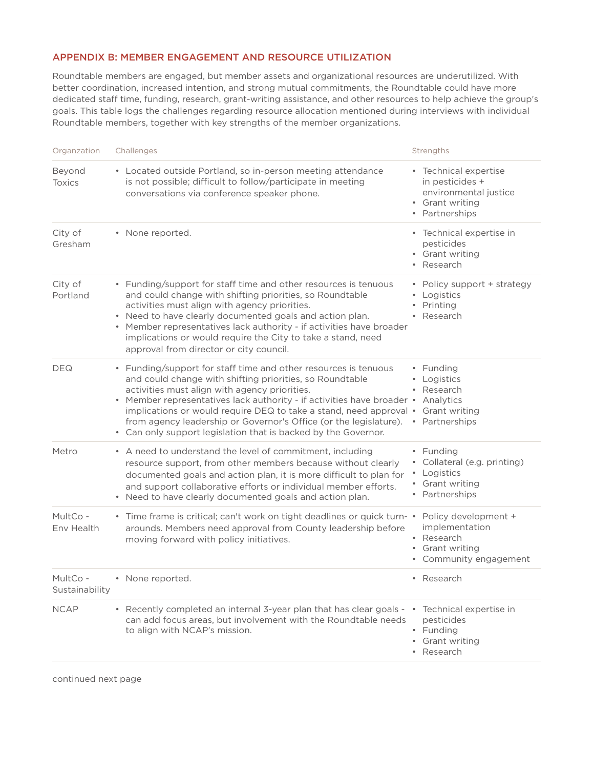# APPENDIX B: MEMBER ENGAGEMENT AND RESOURCE UTILIZATION

Roundtable members are engaged, but member assets and organizational resources are underutilized. With better coordination, increased intention, and strong mutual commitments, the Roundtable could have more dedicated staff time, funding, research, grant-writing assistance, and other resources to help achieve the group's goals. This table logs the challenges regarding resource allocation mentioned during interviews with individual Roundtable members, together with key strengths of the member organizations.

| Organzation                | Challenges                                                                                                                                                                                                                                                                                                                                                                                                                                                          | Strengths                                                                                                    |  |  |  |
|----------------------------|---------------------------------------------------------------------------------------------------------------------------------------------------------------------------------------------------------------------------------------------------------------------------------------------------------------------------------------------------------------------------------------------------------------------------------------------------------------------|--------------------------------------------------------------------------------------------------------------|--|--|--|
| Beyond<br><b>Toxics</b>    | • Located outside Portland, so in-person meeting attendance<br>is not possible; difficult to follow/participate in meeting<br>conversations via conference speaker phone.                                                                                                                                                                                                                                                                                           | • Technical expertise<br>in pesticides +<br>environmental justice<br>• Grant writing<br>• Partnerships       |  |  |  |
| City of<br>Gresham         | • None reported.                                                                                                                                                                                                                                                                                                                                                                                                                                                    | • Technical expertise in<br>pesticides<br>• Grant writing<br>• Research                                      |  |  |  |
| City of<br>Portland        | • Funding/support for staff time and other resources is tenuous<br>and could change with shifting priorities, so Roundtable<br>activities must align with agency priorities.<br>• Need to have clearly documented goals and action plan.<br>• Member representatives lack authority - if activities have broader<br>implications or would require the City to take a stand, need<br>approval from director or city council.                                         | • Policy support + strategy<br>• Logistics<br>Printing<br>$\bullet$<br>• Research                            |  |  |  |
| <b>DEQ</b>                 | • Funding/support for staff time and other resources is tenuous<br>and could change with shifting priorities, so Roundtable<br>activities must align with agency priorities.<br>• Member representatives lack authority - if activities have broader •<br>implications or would require DEQ to take a stand, need approval •<br>from agency leadership or Governor's Office (or the legislature).<br>• Can only support legislation that is backed by the Governor. | • Funding<br>Logistics<br>$\bullet$<br>Research<br>$\bullet$<br>Analytics<br>Grant writing<br>• Partnerships |  |  |  |
| Metro                      | • A need to understand the level of commitment, including<br>resource support, from other members because without clearly<br>documented goals and action plan, it is more difficult to plan for<br>and support collaborative efforts or individual member efforts.<br>• Need to have clearly documented goals and action plan.                                                                                                                                      | • Funding<br>Collateral (e.g. printing)<br>٠<br>Logistics<br>$\bullet$<br>• Grant writing<br>• Partnerships  |  |  |  |
| MultCo -<br>Env Health     | • Time frame is critical; can't work on tight deadlines or quick turn- •<br>arounds. Members need approval from County leadership before<br>moving forward with policy initiatives.                                                                                                                                                                                                                                                                                 | Policy development +<br>implementation<br>• Research<br>• Grant writing<br>• Community engagement            |  |  |  |
| MultCo -<br>Sustainability | • None reported.                                                                                                                                                                                                                                                                                                                                                                                                                                                    | • Research                                                                                                   |  |  |  |
| <b>NCAP</b>                | • Recently completed an internal 3-year plan that has clear goals - • Technical expertise in<br>can add focus areas, but involvement with the Roundtable needs<br>to align with NCAP's mission.                                                                                                                                                                                                                                                                     | pesticides<br>• Funding<br>• Grant writing<br>• Research                                                     |  |  |  |

continued next page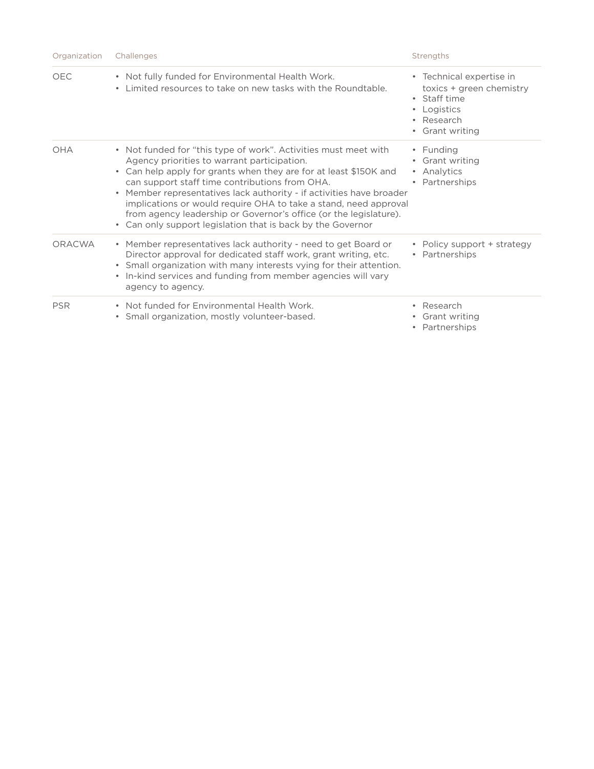| Organization | Challenges                                                                                                                                                                                                                                                                                                                                                                                                                                                                                                            | Strengths                                                                                                                       |  |  |
|--------------|-----------------------------------------------------------------------------------------------------------------------------------------------------------------------------------------------------------------------------------------------------------------------------------------------------------------------------------------------------------------------------------------------------------------------------------------------------------------------------------------------------------------------|---------------------------------------------------------------------------------------------------------------------------------|--|--|
| <b>OEC</b>   | • Not fully funded for Environmental Health Work.<br>• Limited resources to take on new tasks with the Roundtable.                                                                                                                                                                                                                                                                                                                                                                                                    | • Technical expertise in<br>toxics + green chemistry<br>• Staff time<br>• Logistics<br>Research<br>$\bullet$<br>• Grant writing |  |  |
| OHA          | • Not funded for "this type of work". Activities must meet with<br>Agency priorities to warrant participation.<br>• Can help apply for grants when they are for at least \$150K and<br>can support staff time contributions from OHA.<br>• Member representatives lack authority - if activities have broader<br>implications or would require OHA to take a stand, need approval<br>from agency leadership or Governor's office (or the legislature).<br>• Can only support legislation that is back by the Governor | • Funding<br>• Grant writing<br>• Analytics<br>Partnerships<br>$\bullet$                                                        |  |  |
| ORACWA       | • Member representatives lack authority - need to get Board or<br>Director approval for dedicated staff work, grant writing, etc.<br>• Small organization with many interests vying for their attention.<br>• In-kind services and funding from member agencies will vary<br>agency to agency.                                                                                                                                                                                                                        | • Policy support + strategy<br>• Partnerships                                                                                   |  |  |
| <b>PSR</b>   | • Not funded for Environmental Health Work.<br>• Small organization, mostly volunteer-based.                                                                                                                                                                                                                                                                                                                                                                                                                          | Research<br>$\bullet$<br>Grant writing<br>٠<br>• Partnerships                                                                   |  |  |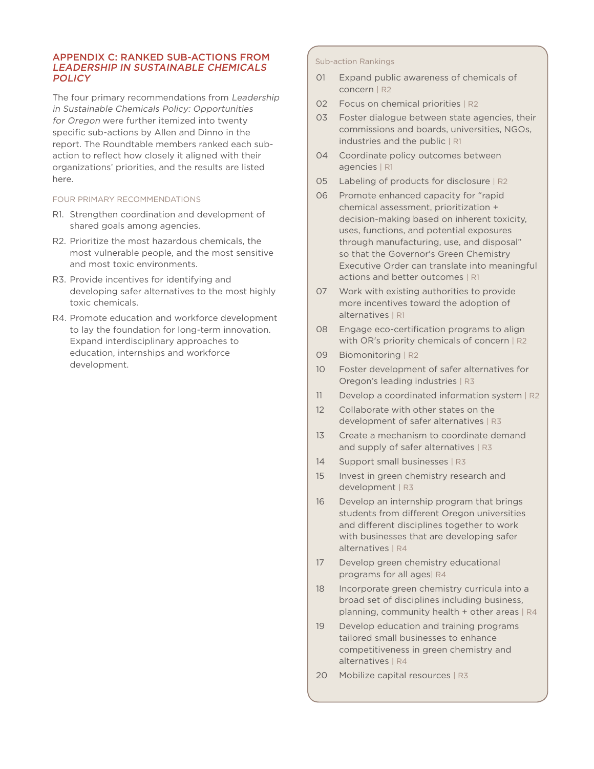# APPENDIX C: RANKED SUB-ACTIONS FROM LEADERSHIP IN SUSTAINABLE CHEMICALS **POLICY**

The four primary recommendations from Leadership in Sustainable Chemicals Policy: Opportunities for Oregon were further itemized into twenty specific sub-actions by Allen and Dinno in the report. The Roundtable members ranked each subaction to reflect how closely it aligned with their organizations' priorities, and the results are listed here.

# FOUR PRIMARY RECOMMENDATIONS

- R1. Strengthen coordination and development of shared goals among agencies.
- R2. Prioritize the most hazardous chemicals, the most vulnerable people, and the most sensitive and most toxic environments.
- R3. Provide incentives for identifying and developing safer alternatives to the most highly toxic chemicals.
- R4. Promote education and workforce development to lay the foundation for long-term innovation. Expand interdisciplinary approaches to education, internships and workforce development.

#### Sub-action Rankings

- 01 Expand public awareness of chemicals of concern | R2
- 02 Focus on chemical priorities | R2
- 03 Foster dialogue between state agencies, their commissions and boards, universities, NGOs, industries and the public | R1
- 04 Coordinate policy outcomes between agencies | R1
- 05 Labeling of products for disclosure | R2
- 06 Promote enhanced capacity for "rapid chemical assessment, prioritization + decision-making based on inherent toxicity, uses, functions, and potential exposures through manufacturing, use, and disposal" so that the Governor's Green Chemistry Executive Order can translate into meaningful actions and better outcomes | R1
- 07 Work with existing authorities to provide more incentives toward the adoption of alternatives | R1
- 08 Engage eco-certification programs to align with OR's priority chemicals of concern | R2
- 09 Biomonitoring | R2
- 10 Foster development of safer alternatives for Oregon's leading industries | R3
- 11 Develop a coordinated information system | R2
- 12 Collaborate with other states on the development of safer alternatives | R3
- 13 Create a mechanism to coordinate demand and supply of safer alternatives | R3
- 14 Support small businesses | R3
- 15 Invest in green chemistry research and development | R3
- 16 Develop an internship program that brings students from different Oregon universities and different disciplines together to work with businesses that are developing safer alternatives | R4
- 17 Develop green chemistry educational programs for all ages| R4
- 18 Incorporate green chemistry curricula into a broad set of disciplines including business, planning, community health  $+$  other areas  $|R4|$
- 19 Develop education and training programs tailored small businesses to enhance competitiveness in green chemistry and alternatives | R4
- 20 Mobilize capital resources | R3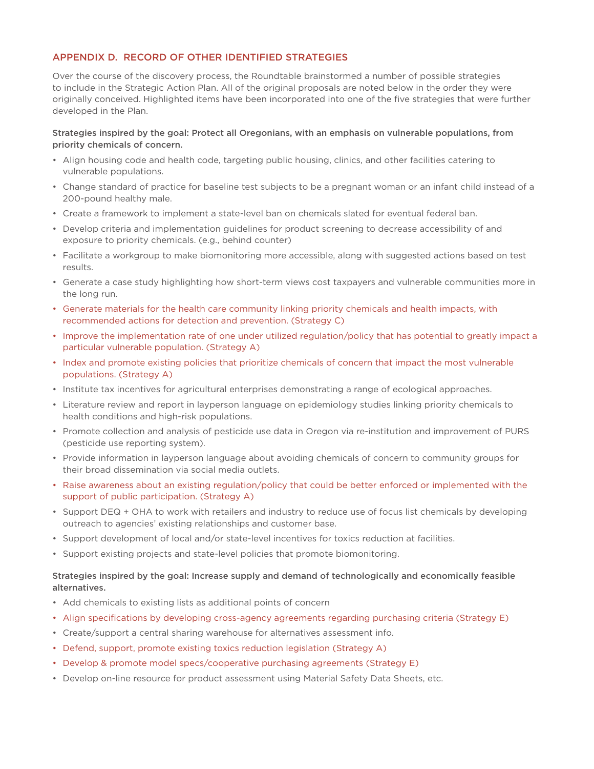# APPENDIX D. RECORD OF OTHER IDENTIFIED STRATEGIES

Over the course of the discovery process, the Roundtable brainstormed a number of possible strategies to include in the Strategic Action Plan. All of the original proposals are noted below in the order they were originally conceived. Highlighted items have been incorporated into one of the five strategies that were further developed in the Plan.

# Strategies inspired by the goal: Protect all Oregonians, with an emphasis on vulnerable populations, from priority chemicals of concern.

- Align housing code and health code, targeting public housing, clinics, and other facilities catering to vulnerable populations.
- Change standard of practice for baseline test subjects to be a pregnant woman or an infant child instead of a 200-pound healthy male.
- Create a framework to implement a state-level ban on chemicals slated for eventual federal ban.
- Develop criteria and implementation guidelines for product screening to decrease accessibility of and exposure to priority chemicals. (e.g., behind counter)
- Facilitate a workgroup to make biomonitoring more accessible, along with suggested actions based on test results.
- Generate a case study highlighting how short-term views cost taxpayers and vulnerable communities more in the long run.
- Generate materials for the health care community linking priority chemicals and health impacts, with recommended actions for detection and prevention. (Strategy C)
- Improve the implementation rate of one under utilized regulation/policy that has potential to greatly impact a particular vulnerable population. (Strategy A)
- Index and promote existing policies that prioritize chemicals of concern that impact the most vulnerable populations. (Strategy A)
- Institute tax incentives for agricultural enterprises demonstrating a range of ecological approaches.
- Literature review and report in layperson language on epidemiology studies linking priority chemicals to health conditions and high-risk populations.
- Promote collection and analysis of pesticide use data in Oregon via re-institution and improvement of PURS (pesticide use reporting system).
- Provide information in layperson language about avoiding chemicals of concern to community groups for their broad dissemination via social media outlets.
- Raise awareness about an existing regulation/policy that could be better enforced or implemented with the support of public participation. (Strategy A)
- Support DEQ + OHA to work with retailers and industry to reduce use of focus list chemicals by developing outreach to agencies' existing relationships and customer base.
- Support development of local and/or state-level incentives for toxics reduction at facilities.
- Support existing projects and state-level policies that promote biomonitoring.

# Strategies inspired by the goal: Increase supply and demand of technologically and economically feasible alternatives.

- Add chemicals to existing lists as additional points of concern
- Align specifications by developing cross-agency agreements regarding purchasing criteria (Strategy E)
- Create/support a central sharing warehouse for alternatives assessment info.
- Defend, support, promote existing toxics reduction legislation (Strategy A)
- Develop & promote model specs/cooperative purchasing agreements (Strategy E)
- Develop on-line resource for product assessment using Material Safety Data Sheets, etc.